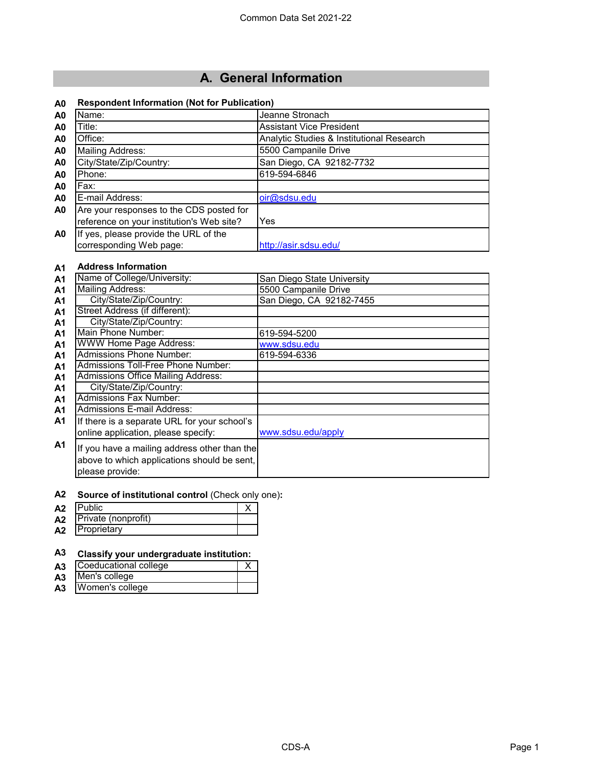# **A. General Information**

### **A0 Respondent Information (Not for Publication)**

| A <sub>0</sub> | Name:                                     | Jeanne Stronach                           |
|----------------|-------------------------------------------|-------------------------------------------|
| A <sub>0</sub> | Title:                                    | <b>Assistant Vice President</b>           |
| A <sub>0</sub> | Office:                                   | Analytic Studies & Institutional Research |
| A <sub>0</sub> | <b>Mailing Address:</b>                   | 5500 Campanile Drive                      |
| A <sub>0</sub> | City/State/Zip/Country:                   | San Diego, CA 92182-7732                  |
| A <sub>0</sub> | Phone:                                    | 619-594-6846                              |
| A <sub>0</sub> | Fax:                                      |                                           |
| A <sub>0</sub> | E-mail Address:                           | oir@sdsu.edu                              |
| A <sub>0</sub> | Are your responses to the CDS posted for  |                                           |
|                | reference on your institution's Web site? | Yes                                       |
| A <sub>0</sub> | If yes, please provide the URL of the     |                                           |
|                | corresponding Web page:                   | http://asir.sdsu.edu/                     |

### **A1 Address Information**

| A1             | Name of College/University:                                                                                    | San Diego State University |
|----------------|----------------------------------------------------------------------------------------------------------------|----------------------------|
| A <sub>1</sub> | <b>Mailing Address:</b>                                                                                        | 5500 Campanile Drive       |
| A1             | City/State/Zip/Country:                                                                                        | San Diego, CA 92182-7455   |
| <b>A1</b>      | Street Address (if different):                                                                                 |                            |
| A1             | City/State/Zip/Country:                                                                                        |                            |
| <b>A1</b>      | Main Phone Number:                                                                                             | 619-594-5200               |
| A <sub>1</sub> | WWW Home Page Address:                                                                                         | www.sdsu.edu               |
| A <sub>1</sub> | <b>Admissions Phone Number:</b>                                                                                | 619-594-6336               |
| A <sub>1</sub> | Admissions Toll-Free Phone Number:                                                                             |                            |
| A <sub>1</sub> | <b>Admissions Office Mailing Address:</b>                                                                      |                            |
| A <sub>1</sub> | City/State/Zip/Country:                                                                                        |                            |
| A <sub>1</sub> | <b>Admissions Fax Number:</b>                                                                                  |                            |
| A <sub>1</sub> | Admissions E-mail Address:                                                                                     |                            |
| A <sub>1</sub> | If there is a separate URL for your school's                                                                   |                            |
|                | online application, please specify:                                                                            | www.sdsu.edu/apply         |
| <b>A1</b>      | If you have a mailing address other than the<br>above to which applications should be sent,<br>please provide: |                            |

#### **A2 Source of institutional control** (Check only one)**:**

| A <sub>2</sub> | <b>Public</b>       |  |
|----------------|---------------------|--|
| A <sub>2</sub> | Private (nonprofit) |  |
| A2             | Proprietary         |  |
|                |                     |  |

### **A3 Classify your undergraduate institution:**

| Coeducational college<br>A3       |  |
|-----------------------------------|--|
| Men's college<br>A3               |  |
| Women's college<br>A <sub>3</sub> |  |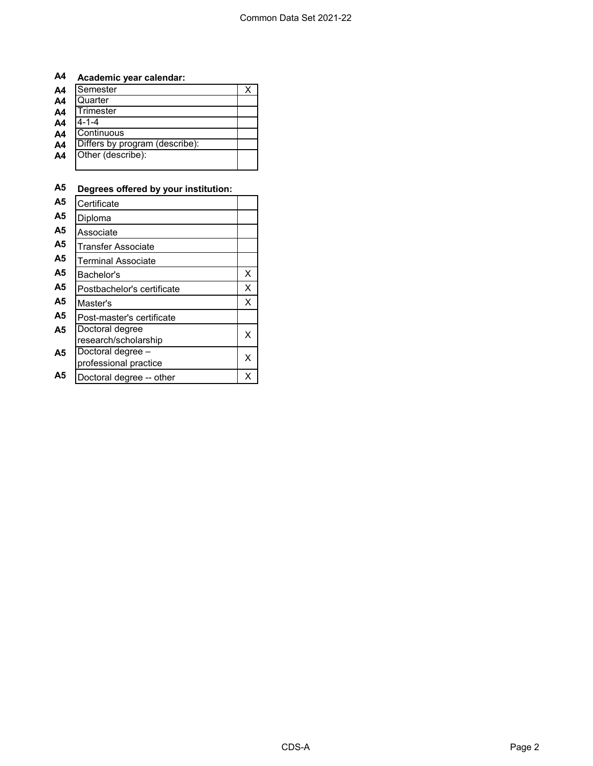## **A4 Academic year calendar:**

| A <sub>4</sub> | Semester                       |  |
|----------------|--------------------------------|--|
| A <sub>4</sub> | Quarter                        |  |
| A <sub>4</sub> | Trimester                      |  |
| A <sub>4</sub> | $4 - 1 - 4$                    |  |
| A <sub>4</sub> | Continuous                     |  |
| A <sub>4</sub> | Differs by program (describe): |  |
| A4             | Other (describe):              |  |
|                |                                |  |

## **A5 Degrees offered by your institution:**

| А5 | Certificate                                |   |
|----|--------------------------------------------|---|
| А5 | Diploma                                    |   |
| А5 | Associate                                  |   |
| А5 | Transfer Associate                         |   |
| А5 | <b>Terminal Associate</b>                  |   |
| А5 | Bachelor's                                 | X |
| Α5 | Postbachelor's certificate                 | X |
| Α5 | Master's                                   | X |
| А5 | Post-master's certificate                  |   |
| А5 | Doctoral degree<br>research/scholarship    | x |
| Α5 | Doctoral degree -<br>professional practice | x |
| A5 | Doctoral degree -- other                   | x |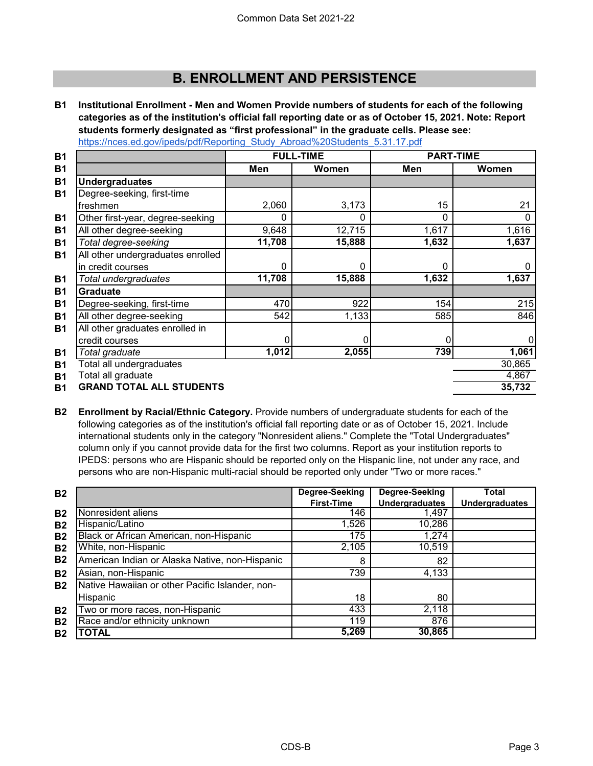# **B. ENROLLMENT AND PERSISTENCE**

**B1 [Institutional Enrollment - Men and Women Provide numbers of students for each of the following](https://nces.ed.gov/ipeds/pdf/Reporting_Study_Abroad%20Students_5.31.17.pdf)  [categories as of the institution's](https://nces.ed.gov/ipeds/pdf/Reporting_Study_Abroad%20Students_5.31.17.pdf) official fall reporting date or as of October 15, 2021. Note: Report [students formerly designated as](https://nces.ed.gov/ipeds/pdf/Reporting_Study_Abroad%20Students_5.31.17.pdf) "first professional" in the graduate cells. Please see:**  [https://nces.ed.gov/ipeds/pdf/Repo](https://nces.ed.gov/ipeds/pdf/Reporting_Study_Abroad%20Students_5.31.17.pdf)rting\_Study\_Abroad%20Students\_5.31.17.pdf

| <b>B1</b> |                                   |        | <b>FULL-TIME</b> | <b>PART-TIME</b> |        |  |
|-----------|-----------------------------------|--------|------------------|------------------|--------|--|
| <b>B1</b> |                                   | Men    | Women            | Men              | Women  |  |
| <b>B1</b> | <b>Undergraduates</b>             |        |                  |                  |        |  |
| <b>B1</b> | Degree-seeking, first-time        |        |                  |                  |        |  |
|           | freshmen                          | 2,060  | 3,173            | 15               | 21     |  |
| <b>B1</b> | Other first-year, degree-seeking  | 0      | 0                | 0                | 0      |  |
| <b>B1</b> | All other degree-seeking          | 9,648  | 12,715           | 1,617            | 1,616  |  |
| <b>B1</b> | Total degree-seeking              | 11,708 | 15,888           | 1,632            | 1,637  |  |
| <b>B1</b> | All other undergraduates enrolled |        |                  |                  |        |  |
|           | in credit courses                 | 0      | $\Omega$         | 0                |        |  |
| <b>B1</b> | Total undergraduates              | 11,708 | 15,888           | 1,632            | 1,637  |  |
| <b>B1</b> | <b>Graduate</b>                   |        |                  |                  |        |  |
| <b>B1</b> | Degree-seeking, first-time        | 470    | 922              | 154              | 215    |  |
| <b>B1</b> | All other degree-seeking          | 542    | 1,133            | 585              | 846    |  |
| <b>B1</b> | All other graduates enrolled in   |        |                  |                  |        |  |
|           | credit courses                    | 0      | 0                |                  | 0      |  |
| <b>B1</b> | Total graduate                    | 1,012  | 2,055            | 739              | 1,061  |  |
| <b>B1</b> | Total all undergraduates          |        |                  |                  | 30,865 |  |
| B1        | Total all graduate                |        |                  |                  | 4,867  |  |
| Β1        | <b>GRAND TOTAL ALL STUDENTS</b>   |        |                  |                  | 35,732 |  |

**B2 Enrollment by Racial/Ethnic Category.** Provide numbers of undergraduate students for each of the following categories as of the institution's official fall reporting date or as of October 15, 2021. Include international students only in the category "Nonresident aliens." Complete the "Total Undergraduates" column only if you cannot provide data for the first two columns. Report as your institution reports to IPEDS: persons who are Hispanic should be reported only on the Hispanic line, not under any race, and persons who are non-Hispanic multi-racial should be reported only under "Two or more races."

| <b>B2</b> |                                                 | Degree-Seeking    | <b>Degree-Seeking</b> | Total                 |
|-----------|-------------------------------------------------|-------------------|-----------------------|-----------------------|
|           |                                                 | <b>First-Time</b> | <b>Undergraduates</b> | <b>Undergraduates</b> |
| <b>B2</b> | Nonresident aliens                              | 146               | 1,497                 |                       |
| <b>B2</b> | Hispanic/Latino                                 | 1,526             | 10,286                |                       |
| <b>B2</b> | Black or African American, non-Hispanic         | 175               | 1,274                 |                       |
| <b>B2</b> | White, non-Hispanic                             | 2,105             | 10,519                |                       |
| <b>B2</b> | American Indian or Alaska Native, non-Hispanic  | 8                 | 82                    |                       |
| <b>B2</b> | Asian, non-Hispanic                             | 739               | 4,133                 |                       |
| <b>B2</b> | Native Hawaiian or other Pacific Islander, non- |                   |                       |                       |
|           | Hispanic                                        | 18                | 80                    |                       |
| <b>B2</b> | Two or more races, non-Hispanic                 | 433               | 2,118                 |                       |
| <b>B2</b> | Race and/or ethnicity unknown                   | 119               | 876                   |                       |
| <b>B2</b> | TOTAL                                           | 5,269             | 30,865                |                       |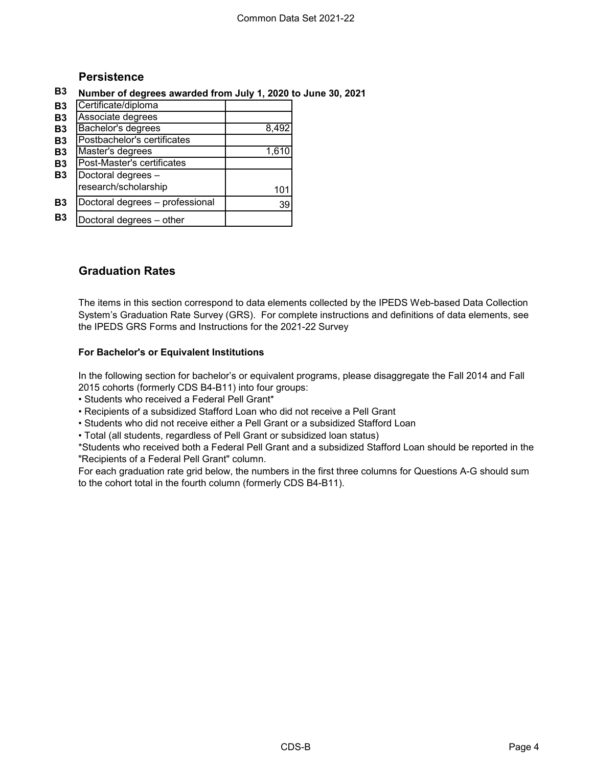### **Persistence**

### **B3 Number of degrees awarded from July 1, 2020 to June 30, 2021**

| <b>B3</b> | Certificate/diploma             |       |
|-----------|---------------------------------|-------|
| <b>B3</b> | Associate degrees               |       |
| <b>B3</b> | Bachelor's degrees              | 8,492 |
| <b>B3</b> | Postbachelor's certificates     |       |
| <b>B3</b> | Master's degrees                | 1,610 |
| <b>B3</b> | Post-Master's certificates      |       |
| <b>B3</b> | Doctoral degrees -              |       |
|           | research/scholarship            | 101   |
| <b>B3</b> | Doctoral degrees - professional | 39    |
| B3        | Doctoral degrees - other        |       |

### **Graduation Rates**

The items in this section correspond to data elements collected by the IPEDS Web-based Data Collection System's Graduation Rate Survey (GRS). For complete instructions and definitions of data elements, see the IPEDS GRS Forms and Instructions for the 2021-22 Survey

### **For Bachelor's or Equivalent Institutions**

In the following section for bachelor's or equivalent programs, please disaggregate the Fall 2014 and Fall 2015 cohorts (formerly CDS B4-B11) into four groups:

• Students who received a Federal Pell Grant\*

• Recipients of a subsidized Stafford Loan who did not receive a Pell Grant

• Students who did not receive either a Pell Grant or a subsidized Stafford Loan

• Total (all students, regardless of Pell Grant or subsidized loan status)

\*Students who received both a Federal Pell Grant and a subsidized Stafford Loan should be reported in the "Recipients of a Federal Pell Grant" column.

For each graduation rate grid below, the numbers in the first three columns for Questions A-G should sum to the cohort total in the fourth column (formerly CDS B4-B11).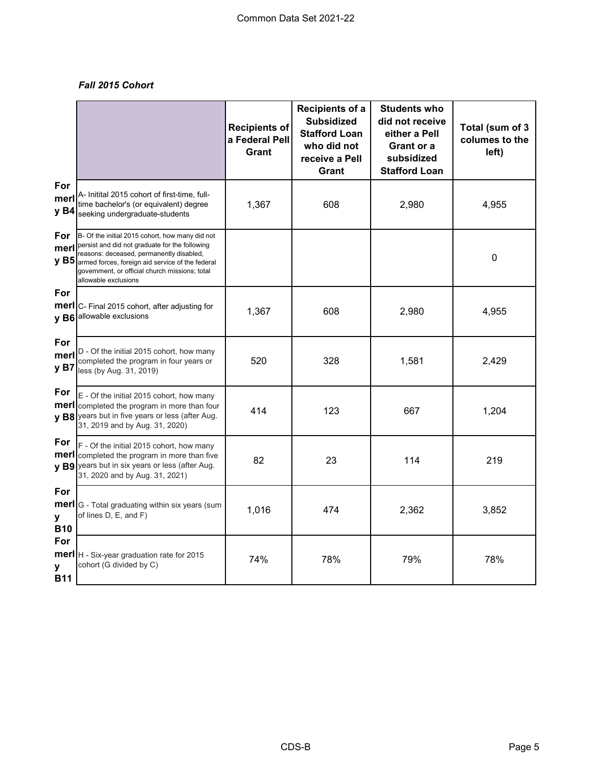### *Fall 2015 Cohort*

|                        |                                                                                                                                                                                                                                                                                    | <b>Recipients of</b><br>a Federal Pell<br><b>Grant</b> | Recipients of a<br><b>Subsidized</b><br><b>Stafford Loan</b><br>who did not<br>receive a Pell<br>Grant | <b>Students who</b><br>did not receive<br>either a Pell<br>Grant or a<br>subsidized<br><b>Stafford Loan</b> | Total (sum of 3<br>columes to the<br>left) |
|------------------------|------------------------------------------------------------------------------------------------------------------------------------------------------------------------------------------------------------------------------------------------------------------------------------|--------------------------------------------------------|--------------------------------------------------------------------------------------------------------|-------------------------------------------------------------------------------------------------------------|--------------------------------------------|
| For<br>merl<br>y B4    | A- Initital 2015 cohort of first-time, full-<br>time bachelor's (or equivalent) degree<br>seeking undergraduate-students                                                                                                                                                           | 1,367                                                  | 608                                                                                                    | 2,980                                                                                                       | 4,955                                      |
| For<br>merl            | B- Of the initial 2015 cohort, how many did not<br>persist and did not graduate for the following<br>reasons: deceased, permanently disabled,<br>$y$ B5 armed forces, foreign aid service of the federal<br>government, or official church missions; total<br>allowable exclusions |                                                        |                                                                                                        |                                                                                                             | 0                                          |
| For<br>merl            | C- Final 2015 cohort, after adjusting for<br>y B6 allowable exclusions                                                                                                                                                                                                             | 1,367                                                  | 608                                                                                                    | 2,980                                                                                                       | 4,955                                      |
| For<br>merl<br>y B7    | D - Of the initial 2015 cohort, how many<br>completed the program in four years or<br>less (by Aug. 31, 2019)                                                                                                                                                                      | 520                                                    | 328                                                                                                    | 1,581                                                                                                       | 2,429                                      |
| For                    | E - Of the initial 2015 cohort, how many<br><b>merl</b> completed the program in more than four<br>y B8 years but in five years or less (after Aug.<br>31, 2019 and by Aug. 31, 2020)                                                                                              | 414                                                    | 123                                                                                                    | 667                                                                                                         | 1,204                                      |
| For<br>merl            | F - Of the initial 2015 cohort, how many<br>completed the program in more than five<br>v B9 years but in six years or less (after Aug.<br>31, 2020 and by Aug. 31, 2021)                                                                                                           | 82                                                     | 23                                                                                                     | 114                                                                                                         | 219                                        |
| For<br>y<br><b>B10</b> | merl G - Total graduating within six years (sum<br>of lines $D, E,$ and $F$ )                                                                                                                                                                                                      | 1,016                                                  | 474                                                                                                    | 2,362                                                                                                       | 3,852                                      |
| For<br>у<br><b>B11</b> | merl   H - Six-year graduation rate for 2015<br>cohort (G divided by C)                                                                                                                                                                                                            | 74%                                                    | 78%                                                                                                    | 79%                                                                                                         | 78%                                        |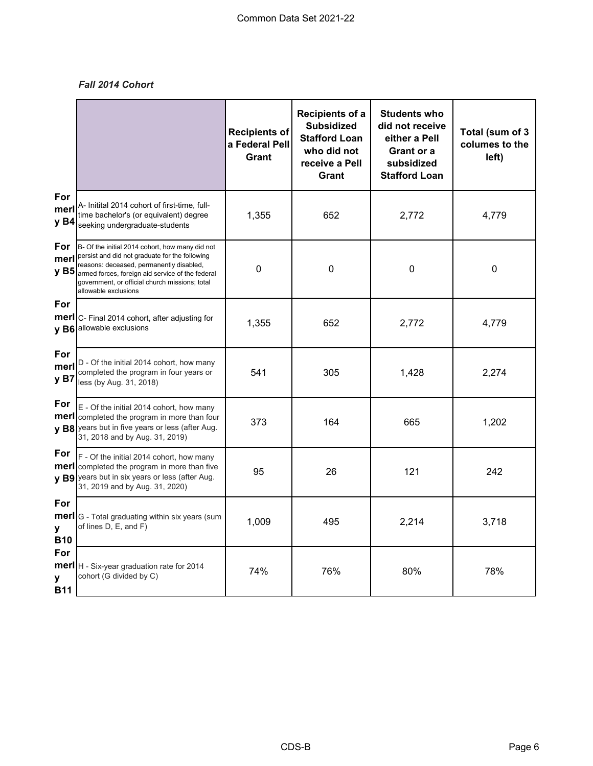### *Fall 2014 Cohort*

|                                |                                                                                                                                                                                                                                                                                  | <b>Recipients of</b><br>a Federal Pell<br>Grant | Recipients of a<br><b>Subsidized</b><br><b>Stafford Loan</b><br>who did not<br>receive a Pell<br>Grant | <b>Students who</b><br>did not receive<br>either a Pell<br>Grant or a<br>subsidized<br><b>Stafford Loan</b> | Total (sum of 3<br>columes to the<br>left) |
|--------------------------------|----------------------------------------------------------------------------------------------------------------------------------------------------------------------------------------------------------------------------------------------------------------------------------|-------------------------------------------------|--------------------------------------------------------------------------------------------------------|-------------------------------------------------------------------------------------------------------------|--------------------------------------------|
| For<br>mer<br>y B4             | A- Initital 2014 cohort of first-time, full-<br>time bachelor's (or equivalent) degree<br>seeking undergraduate-students                                                                                                                                                         | 1,355                                           | 652                                                                                                    | 2,772                                                                                                       | 4,779                                      |
| <b>For</b><br>merl             | B- Of the initial 2014 cohort, how many did not<br>persist and did not graduate for the following<br>reasons: deceased, permanently disabled,<br>y B5 armed forces, foreign aid service of the federal<br>government, or official church missions; total<br>allowable exclusions | 0                                               | 0                                                                                                      | 0                                                                                                           | 0                                          |
| For<br>merl                    | C- Final 2014 cohort, after adjusting for<br>y B6 allowable exclusions                                                                                                                                                                                                           | 1,355                                           | 652                                                                                                    | 2,772                                                                                                       | 4,779                                      |
| For<br>merl<br>y B7            | D - Of the initial 2014 cohort, how many<br>completed the program in four years or<br>less (by Aug. 31, 2018)                                                                                                                                                                    | 541                                             | 305                                                                                                    | 1,428                                                                                                       | 2,274                                      |
| For<br>merl                    | E - Of the initial 2014 cohort, how many<br>completed the program in more than four<br>v B8 years but in five years or less (after Aug.<br>31, 2018 and by Aug. 31, 2019)                                                                                                        | 373                                             | 164                                                                                                    | 665                                                                                                         | 1,202                                      |
| For<br>merl                    | F - Of the initial 2014 cohort, how many<br>completed the program in more than five<br>y B9 years but in six years or less (after Aug.<br>31, 2019 and by Aug. 31, 2020)                                                                                                         | 95                                              | 26                                                                                                     | 121                                                                                                         | 242                                        |
| For<br>merl<br>y<br><b>B10</b> | G - Total graduating within six years (sum<br>of lines D, E, and F)                                                                                                                                                                                                              | 1,009                                           | 495                                                                                                    | 2,214                                                                                                       | 3,718                                      |
| For<br>y<br><b>B11</b>         | merl   H - Six-year graduation rate for 2014<br>cohort (G divided by C)                                                                                                                                                                                                          | 74%                                             | 76%                                                                                                    | 80%                                                                                                         | 78%                                        |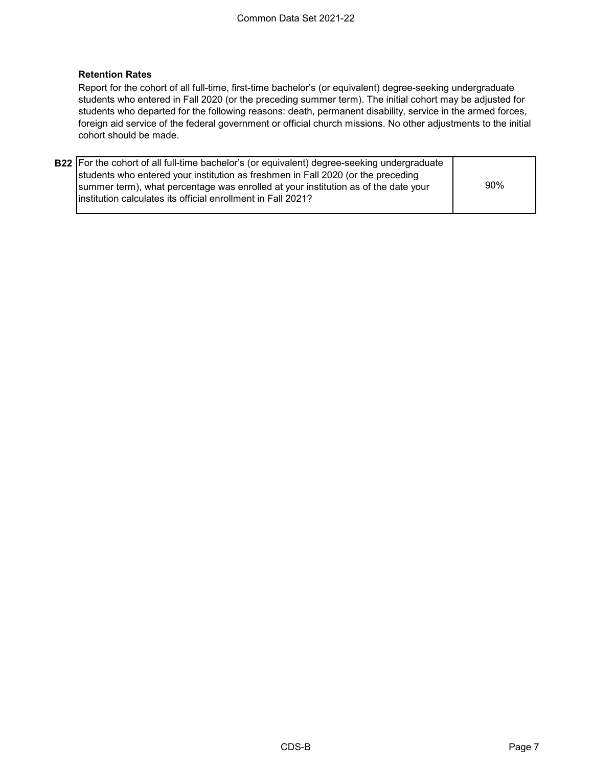### **Retention Rates**

Report for the cohort of all full-time, first-time bachelor's (or equivalent) degree-seeking undergraduate students who entered in Fall 2020 (or the preceding summer term). The initial cohort may be adjusted for students who departed for the following reasons: death, permanent disability, service in the armed forces, foreign aid service of the federal government or official church missions. No other adjustments to the initial cohort should be made.

| <b>B22</b> For the cohort of all full-time bachelor's (or equivalent) degree-seeking undergraduate |     |
|----------------------------------------------------------------------------------------------------|-----|
| students who entered your institution as freshmen in Fall 2020 (or the preceding                   |     |
| summer term), what percentage was enrolled at your institution as of the date your                 | 90% |
| linstitution calculates its official enrollment in Fall 2021?                                      |     |
|                                                                                                    |     |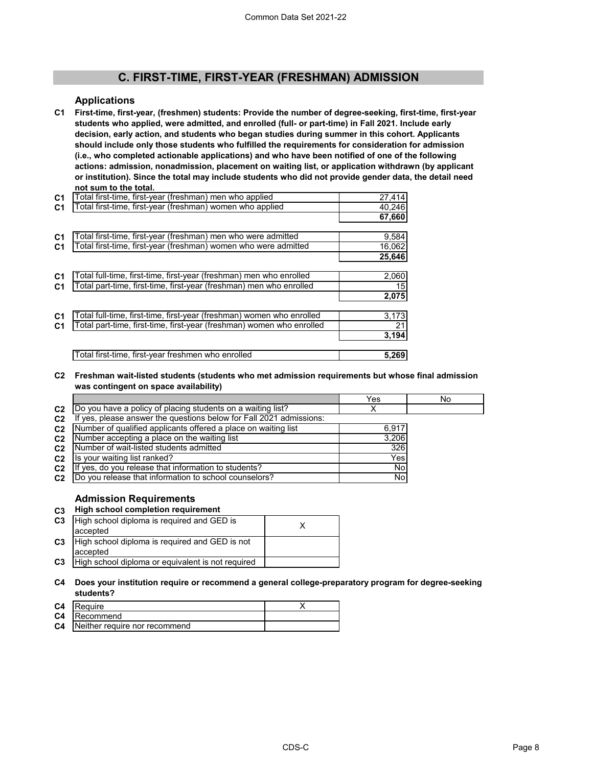### **C. FIRST-TIME, FIRST-YEAR (FRESHMAN) ADMISSION**

#### **Applications**

**C1 First-time, first-year, (freshmen) students: Provide the number of degree-seeking, first-time, first-year students who applied, were admitted, and enrolled (full- or part-time) in Fall 2021. Include early decision, early action, and students who began studies during summer in this cohort. Applicants should include only those students who fulfilled the requirements for consideration for admission (i.e., who completed actionable applications) and who have been notified of one of the following actions: admission, nonadmission, placement on waiting list, or application withdrawn (by applicant or institution). Since the total may include students who did not provide gender data, the detail need not sum to the total.** 

| C <sub>1</sub> | Total first-time, first-year (freshman) men who applied               | 27,414          |
|----------------|-----------------------------------------------------------------------|-----------------|
| C <sub>1</sub> | Total first-time, first-year (freshman) women who applied             | 40,246          |
|                |                                                                       | 67,660          |
|                |                                                                       |                 |
| C <sub>1</sub> | Total first-time, first-year (freshman) men who were admitted         | 9,584           |
| C <sub>1</sub> | Total first-time, first-year (freshman) women who were admitted       | 16,062          |
|                |                                                                       | 25,646          |
|                |                                                                       |                 |
| C <sub>1</sub> | Total full-time, first-time, first-year (freshman) men who enrolled   | 2,060           |
| C <sub>1</sub> | Total part-time, first-time, first-year (freshman) men who enrolled   | 15              |
|                |                                                                       | 2,075           |
|                |                                                                       |                 |
| C <sub>1</sub> | Total full-time, first-time, first-year (freshman) women who enrolled | 3,173           |
| C <sub>1</sub> | Total part-time, first-time, first-year (freshman) women who enrolled | $\overline{21}$ |
|                |                                                                       | 3,194           |
|                |                                                                       |                 |
|                | Total first-time, first-year freshmen who enrolled                    | 5,269           |

#### **C2 Freshman wait-listed students (students who met admission requirements but whose final admission was contingent on space availability)**

|                                                                     | Yes                                                                                                                                                                                                                                                                                                                                                                       | No  |
|---------------------------------------------------------------------|---------------------------------------------------------------------------------------------------------------------------------------------------------------------------------------------------------------------------------------------------------------------------------------------------------------------------------------------------------------------------|-----|
|                                                                     |                                                                                                                                                                                                                                                                                                                                                                           |     |
| If yes, please answer the questions below for Fall 2021 admissions: |                                                                                                                                                                                                                                                                                                                                                                           |     |
|                                                                     | 6.917                                                                                                                                                                                                                                                                                                                                                                     |     |
|                                                                     | 3.206                                                                                                                                                                                                                                                                                                                                                                     |     |
|                                                                     |                                                                                                                                                                                                                                                                                                                                                                           |     |
|                                                                     | Yes                                                                                                                                                                                                                                                                                                                                                                       |     |
|                                                                     | Nol                                                                                                                                                                                                                                                                                                                                                                       |     |
|                                                                     | Nol                                                                                                                                                                                                                                                                                                                                                                       |     |
|                                                                     | Do you have a policy of placing students on a waiting list?<br>Number of qualified applicants offered a place on waiting list<br>Number accepting a place on the waiting list<br>Number of wait-listed students admitted<br>Is your waiting list ranked?<br>If yes, do you release that information to students?<br>Do you release that information to school counselors? | 326 |

#### **Admission Requirements**

#### **C3 High school completion requirement C3** <sup>X</sup> High school diploma is required and GED is **C3 C3** accepted High school diploma is required and GED is not accepted High school diploma or equivalent is not required

#### **C4 Does your institution require or recommend a general college-preparatory program for degree-seeking students?**

| C <sub>4</sub> | <b>IRequire</b>               |  |
|----------------|-------------------------------|--|
| C <sub>4</sub> | Recommend                     |  |
| C <sub>4</sub> | Neither require nor recommend |  |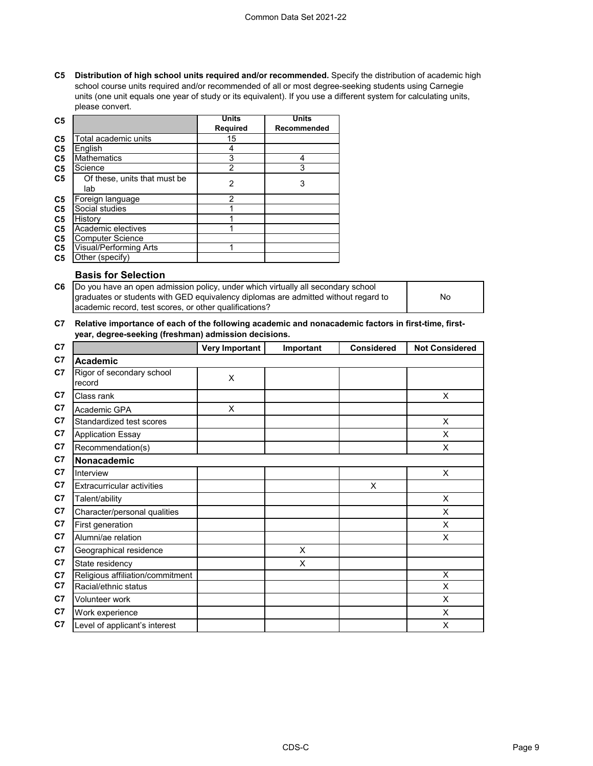#### Common Data Set 2021-22

**C5 Distribution of high school units required and/or recommended.** Specify the distribution of academic high school course units required and/or recommended of all or most degree-seeking students using Carnegie units (one unit equals one year of study or its equivalent). If you use a different system for calculating units, please convert.

| C <sub>5</sub> |                                     | Units          | <b>Units</b> |
|----------------|-------------------------------------|----------------|--------------|
|                |                                     | Required       | Recommended  |
| C <sub>5</sub> | Total academic units                | 15             |              |
| C <sub>5</sub> | English                             | 4              |              |
| C <sub>5</sub> | <b>Mathematics</b>                  | 3              |              |
| C <sub>5</sub> | Science                             | $\overline{2}$ | 3            |
| C <sub>5</sub> | Of these, units that must be<br>lab | 2              | 3            |
| C <sub>5</sub> | Foreign language                    | 2              |              |
| C <sub>5</sub> | Social studies                      |                |              |
| C <sub>5</sub> | History                             |                |              |
| C <sub>5</sub> | Academic electives                  |                |              |
| C <sub>5</sub> | <b>Computer Science</b>             |                |              |
| C <sub>5</sub> | Visual/Performing Arts              |                |              |
| C <sub>5</sub> | Other (specify)                     |                |              |

### **Basis for Selection**

| C6 Do you have an open admission policy, under which virtually all secondary school |    |
|-------------------------------------------------------------------------------------|----|
| graduates or students with GED equivalency diplomas are admitted without regard to  | No |
| academic record, test scores, or other qualifications?                              |    |

#### **C7 Relative importance of each of the following academic and nonacademic factors in first-time, firstyear, degree-seeking (freshman) admission decisions.**

| C7             |                                     | <b>Very Important</b> | Important | <b>Considered</b> | <b>Not Considered</b>   |
|----------------|-------------------------------------|-----------------------|-----------|-------------------|-------------------------|
| C <sub>7</sub> | Academic                            |                       |           |                   |                         |
| C <sub>7</sub> | Rigor of secondary school<br>record | X                     |           |                   |                         |
| C <sub>7</sub> | Class rank                          |                       |           |                   | X                       |
| C <sub>7</sub> | Academic GPA                        | X                     |           |                   |                         |
| C <sub>7</sub> | Standardized test scores            |                       |           |                   | X                       |
| C <sub>7</sub> | <b>Application Essay</b>            |                       |           |                   | X                       |
| C <sub>7</sub> | Recommendation(s)                   |                       |           |                   | X                       |
| C <sub>7</sub> | Nonacademic                         |                       |           |                   |                         |
| C <sub>7</sub> | Interview                           |                       |           |                   | X                       |
| C <sub>7</sub> | <b>Extracurricular activities</b>   |                       |           | X                 |                         |
| C <sub>7</sub> | Talent/ability                      |                       |           |                   | X                       |
| C7             | Character/personal qualities        |                       |           |                   | X                       |
| C <sub>7</sub> | First generation                    |                       |           |                   | X                       |
| C <sub>7</sub> | Alumni/ae relation                  |                       |           |                   | X                       |
| C <sub>7</sub> | Geographical residence              |                       | X         |                   |                         |
| C <sub>7</sub> | State residency                     |                       | X         |                   |                         |
| C7             | Religious affiliation/commitment    |                       |           |                   | $\overline{\mathsf{x}}$ |
| C <sub>7</sub> | Racial/ethnic status                |                       |           |                   | X                       |
| C <sub>7</sub> | Volunteer work                      |                       |           |                   | X                       |
| C <sub>7</sub> | Work experience                     |                       |           |                   | X                       |
| C <sub>7</sub> | Level of applicant's interest       |                       |           |                   | X                       |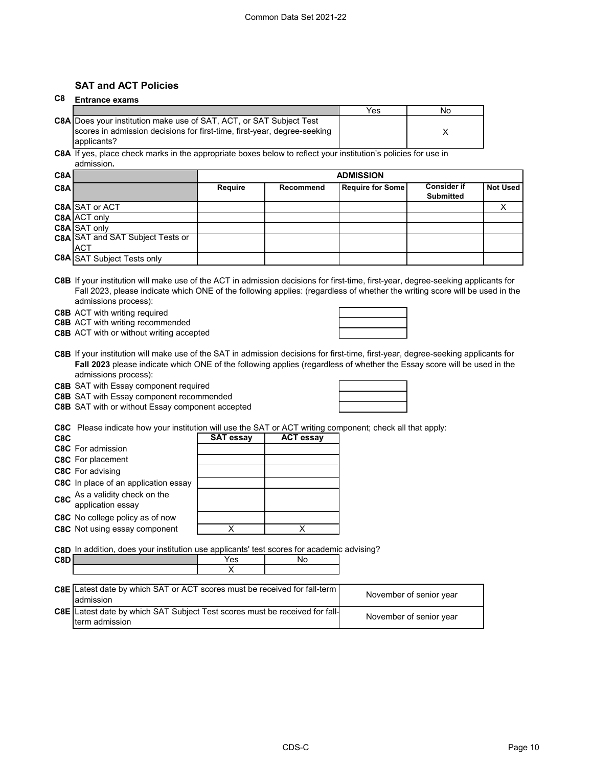### **SAT and ACT Policies**

#### **C8 Entrance exams**

|                                                                            | Yes | No |
|----------------------------------------------------------------------------|-----|----|
| <b>C8A Does your institution make use of SAT, ACT, or SAT Subject Test</b> |     |    |
| scores in admission decisions for first-time, first-year, degree-seeking   |     |    |
| applicants?                                                                |     |    |

**C8A** If yes, place check marks in the appropriate boxes below to reflect your institution's policies for use in admission**.**

| C8A |                                   | <b>ADMISSION</b> |           |                         |                                        |                 |
|-----|-----------------------------------|------------------|-----------|-------------------------|----------------------------------------|-----------------|
| C8A |                                   | Require          | Recommend | <b>Require for Some</b> | <b>Consider if</b><br><b>Submitted</b> | <b>Not Used</b> |
|     | <b>C8A SAT or ACT</b>             |                  |           |                         |                                        |                 |
|     | C8A ACT only                      |                  |           |                         |                                        |                 |
|     | C8A SAT only                      |                  |           |                         |                                        |                 |
|     | C8A SAT and SAT Subject Tests or  |                  |           |                         |                                        |                 |
|     | <b>ACT</b>                        |                  |           |                         |                                        |                 |
|     | <b>C8A</b> SAT Subject Tests only |                  |           |                         |                                        |                 |

**C8B** If your institution will make use of the ACT in admission decisions for first-time, first-year, degree-seeking applicants for Fall 2023, please indicate which ONE of the following applies: (regardless of whether the writing score will be used in the admissions process):

**C8B** ACT with writing required

**C8B** ACT with writing recommended

**C8B** ACT with or without writing accepted

**C8B** If your institution will make use of the SAT in admission decisions for first-time, first-year, degree-seeking applicants for **Fall 2023** please indicate which ONE of the following applies (regardless of whether the Essay score will be used in the admissions process):

#### **C8B** SAT with Essay component required

**C8B** SAT with Essay component recommended

| $\frac{1}{2}$ $\frac{1}{2}$ $\frac{1}{2}$ $\frac{1}{2}$ $\frac{1}{2}$ $\frac{1}{2}$ $\frac{1}{2}$ $\frac{1}{2}$ $\frac{1}{2}$ $\frac{1}{2}$ $\frac{1}{2}$ $\frac{1}{2}$ $\frac{1}{2}$ $\frac{1}{2}$ $\frac{1}{2}$ $\frac{1}{2}$ $\frac{1}{2}$ $\frac{1}{2}$ $\frac{1}{2}$ $\frac{1}{2}$ $\frac{1}{2}$ $\frac{1}{2}$ |
|---------------------------------------------------------------------------------------------------------------------------------------------------------------------------------------------------------------------------------------------------------------------------------------------------------------------|
| <b>C8B</b> SAT with or without Essay component accepted                                                                                                                                                                                                                                                             |

**C8C** Please indicate how your institution will use the SAT or ACT writing component; check all that apply:

| C <sub>8</sub> C |                                                  | <b>SAT essay</b> | <b>ACT essay</b> |
|------------------|--------------------------------------------------|------------------|------------------|
|                  | <b>C8C</b> For admission                         |                  |                  |
|                  | <b>C8C</b> For placement                         |                  |                  |
|                  | <b>C8C</b> For advising                          |                  |                  |
|                  | <b>C8C</b> In place of an application essay      |                  |                  |
|                  | C8C As a validity check on the application essay |                  |                  |
|                  | <b>C8C</b> No college policy as of now           |                  |                  |
|                  | <b>C8C</b> Not using essay component             |                  |                  |

**C8D** In addition, does your institution use applicants' test scores for academic advising?

| <b>C.RF</b> | ౚ    | ◥◡                      |
|-------------|------|-------------------------|
| --          | $ -$ | $\cdot$ $\cdot$ $\cdot$ |
|             |      |                         |

| <b>C8E</b> Latest date by which SAT or ACT scores must be received for fall-term<br>ladmission        | November of senior year |
|-------------------------------------------------------------------------------------------------------|-------------------------|
| <b>C8E</b> Latest date by which SAT Subject Test scores must be received for fall-<br>Iterm admission | November of senior year |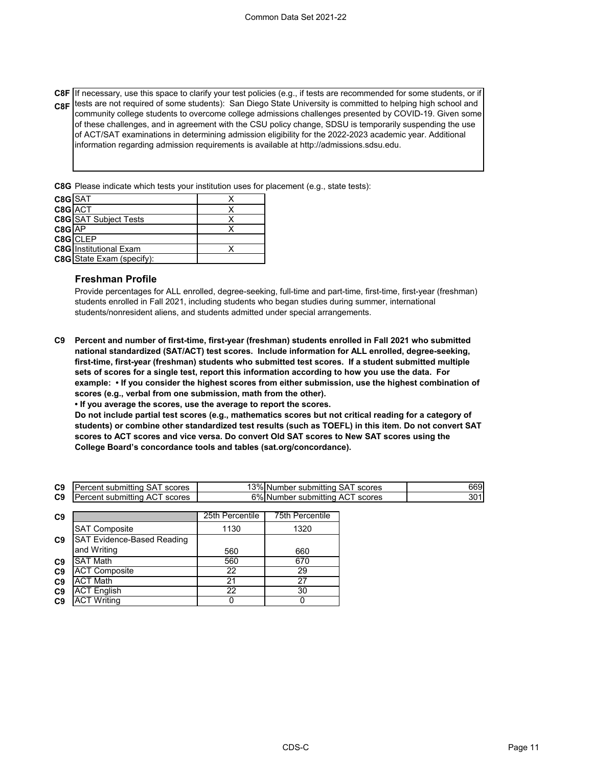**C8F** If necessary, use this space to clarify your test policies (e.g., if tests are recommended for some students, or if **C8F** tests are not required of some students): San Diego State University is committed to helping high school and community college students to overcome college admissions challenges presented by COVID-19. Given some of these challenges, and in agreement with the CSU policy change, SDSU is temporarily suspending the use of ACT/SAT examinations in determining admission eligibility for the 2022-2023 academic year. Additional information regarding admission requirements is available at http://admissions.sdsu.edu.

**C8G** Please indicate which tests your institution uses for placement (e.g., state tests):

| C8GSAT   |                                  |  |
|----------|----------------------------------|--|
| C8G ACT  |                                  |  |
|          | <b>C8G</b> SAT Subject Tests     |  |
| $C8G$ AP |                                  |  |
|          | C8G CLEP                         |  |
|          | <b>C8G</b> Institutional Exam    |  |
|          | <b>C8G</b> State Exam (specify): |  |

### **Freshman Profile**

Provide percentages for ALL enrolled, degree-seeking, full-time and part-time, first-time, first-year (freshman) students enrolled in Fall 2021, including students who began studies during summer, international students/nonresident aliens, and students admitted under special arrangements.

**C9 Percent and number of first-time, first-year (freshman) students enrolled in Fall 2021 who submitted national standardized (SAT/ACT) test scores. Include information for ALL enrolled, degree-seeking, first-time, first-year (freshman) students who submitted test scores. If a student submitted multiple sets of scores for a single test, report this information according to how you use the data. For example: • If you consider the highest scores from either submission, use the highest combination of scores (e.g., verbal from one submission, math from the other).**

**• If you average the scores, use the average to report the scores.**

**Do not include partial test scores (e.g., mathematics scores but not critical reading for a category of students) or combine other standardized test results (such as TOEFL) in this item. Do not convert SAT scores to ACT scores and vice versa. Do convert Old SAT scores to New SAT scores using the College Board's concordance tools and tables (sat.org/concordance).**

| C <sub>9</sub> | scores<br>submitting<br>.ent<br>SА<br>eц      | $3\%$<br>SA.<br>scores<br>submitting<br><b>Number</b> | 669         |
|----------------|-----------------------------------------------|-------------------------------------------------------|-------------|
| C <sub>9</sub> | scores<br>. submittina<br>∸ A∪<br>∙enτ<br>'nα | 5%<br>scores<br>.INumber<br>submitting<br>AC.         | 5^1<br>ו טכ |

| C <sub>9</sub> |                                   | 25th Percentile | 75th Percentile |
|----------------|-----------------------------------|-----------------|-----------------|
|                | <b>SAT Composite</b>              | 1130            | 1320            |
| C <sub>9</sub> | <b>SAT Evidence-Based Reading</b> |                 |                 |
|                | and Writing                       | 560             | 660             |
| C <sub>9</sub> | <b>SAT Math</b>                   | 560             | 670             |
| C <sub>9</sub> | <b>ACT Composite</b>              | 22              | 29              |
| C <sub>9</sub> | <b>ACT Math</b>                   | 21              | 27              |
| C <sub>9</sub> | <b>ACT English</b>                | 22              | 30              |
| C <sub>9</sub> | <b>ACT Writing</b>                |                 |                 |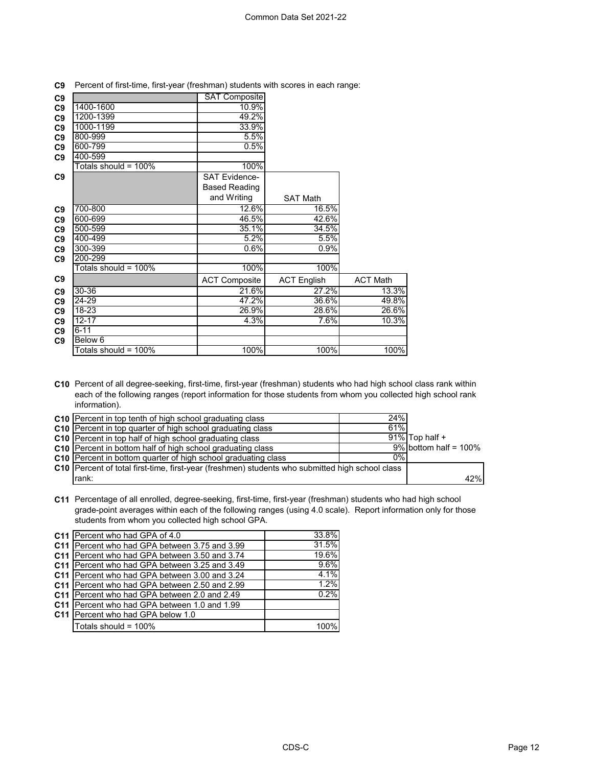| C <sub>9</sub> |                         | <b>SAT Composite</b> |                    |                 |
|----------------|-------------------------|----------------------|--------------------|-----------------|
| C9             | 1400-1600               | 10.9%                |                    |                 |
| C <sub>9</sub> | 1200-1399               | 49.2%                |                    |                 |
| C9             | 1000-1199               | 33.9%                |                    |                 |
| C9             | 800-999                 | 5.5%                 |                    |                 |
| C <sub>9</sub> | 600-799                 | 0.5%                 |                    |                 |
| C9             | 400-599                 |                      |                    |                 |
|                | Totals should = $100\%$ | 100%                 |                    |                 |
| C <sub>9</sub> |                         | <b>SAT Evidence-</b> |                    |                 |
|                |                         | <b>Based Reading</b> |                    |                 |
|                |                         | and Writing          | <b>SAT Math</b>    |                 |
| C <sub>9</sub> | 700-800                 | 12.6%                | 16.5%              |                 |
| C9             | 600-699                 | 46.5%                | 42.6%              |                 |
| C9             | 500-599                 | 35.1%                | 34.5%              |                 |
| C <sub>9</sub> | 400-499                 | 5.2%                 | 5.5%               |                 |
| C9             | 300-399                 | 0.6%                 | 0.9%               |                 |
| C <sub>9</sub> | 200-299                 |                      |                    |                 |
|                | Totals should = $100\%$ | 100%                 | 100%               |                 |
| C <sub>9</sub> |                         | <b>ACT Composite</b> | <b>ACT English</b> | <b>ACT Math</b> |
| C9             | 30-36                   | 21.6%                | 27.2%              | 13.3%           |
| C <sub>9</sub> | 24-29                   | 47.2%                | 36.6%              | 49.8%           |
| C <sub>9</sub> | $18 - 23$               | 26.9%                | 28.6%              | 26.6%           |
| C <sub>9</sub> | $12 - 17$               | 4.3%                 | 7.6%               | 10.3%           |
| C <sub>9</sub> | $6 - 11$                |                      |                    |                 |
| C <sub>9</sub> | Below 6                 |                      |                    |                 |
|                | Totals should = $100\%$ | 100%                 | 100%               | 100%            |

**C9** Percent of first-time, first-year (freshman) students with scores in each range:

**C10** Percent of all degree-seeking, first-time, first-year (freshman) students who had high school class rank within each of the following ranges (report information for those students from whom you collected high school rank information).

| C10 Percent in top tenth of high school graduating class                                        | 24%   |                          |     |
|-------------------------------------------------------------------------------------------------|-------|--------------------------|-----|
| <b>C10</b> Percent in top quarter of high school graduating class                               | 61%   |                          |     |
| <b>C10</b> Percent in top half of high school graduating class                                  |       | $91\%$ Top half +        |     |
| <b>C10</b> Percent in bottom half of high school graduating class                               |       | $9\%$ bottom half = 100% |     |
| C10 Percent in bottom quarter of high school graduating class                                   | $0\%$ |                          |     |
| C10 Percent of total first-time, first-year (freshmen) students who submitted high school class |       |                          |     |
| rank:                                                                                           |       |                          | 42% |

**C11** Percentage of all enrolled, degree-seeking, first-time, first-year (freshman) students who had high school grade-point averages within each of the following ranges (using 4.0 scale). Report information only for those students from whom you collected high school GPA.

| C11 Percent who had GPA of 4.0                       | 33.8% |
|------------------------------------------------------|-------|
| C11 Percent who had GPA between 3.75 and 3.99        | 31.5% |
| <b>C11</b> Percent who had GPA between 3.50 and 3.74 | 19.6% |
| C11 Percent who had GPA between 3.25 and 3.49        | 9.6%  |
| C11 Percent who had GPA between 3.00 and 3.24        | 4.1%  |
| C11 Percent who had GPA between 2.50 and 2.99        | 1.2%  |
| C11 Percent who had GPA between 2.0 and 2.49         | 0.2%  |
| C11 Percent who had GPA between 1.0 and 1.99         |       |
| C11 Percent who had GPA below 1.0                    |       |
| Totals should = 100%                                 |       |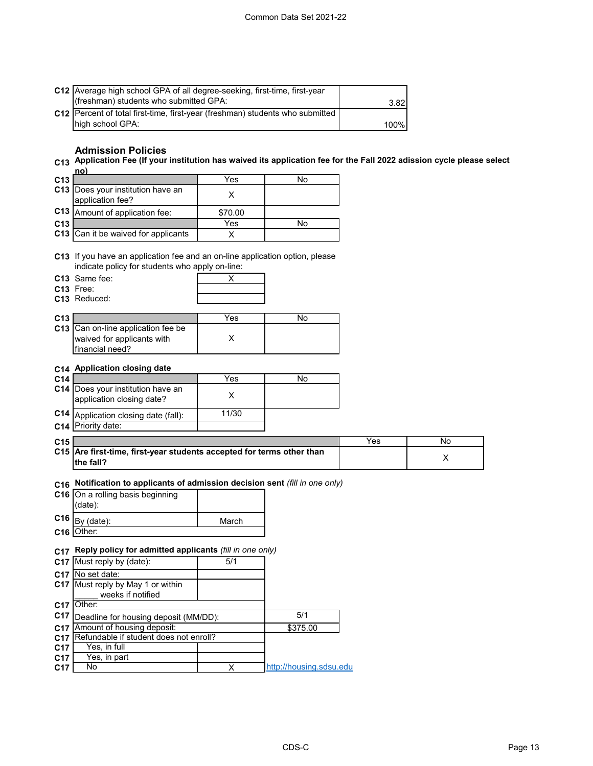|                 | C12 Average high school GPA of all degree-seeking, first-time, first-year<br>(freshman) students who submitted GPA:                                 |                         |                         | 3.82 |    |  |
|-----------------|-----------------------------------------------------------------------------------------------------------------------------------------------------|-------------------------|-------------------------|------|----|--|
|                 | C12 Percent of total first-time, first-year (freshman) students who submitted<br>high school GPA:                                                   |                         |                         | 100% |    |  |
|                 | <b>Admission Policies</b><br>C13 Application Fee (If your institution has waived its application fee for the Fall 2022 adission cycle please select |                         |                         |      |    |  |
| C13             | no)                                                                                                                                                 | Yes                     | No                      |      |    |  |
|                 | C13 Does your institution have an<br>application fee?                                                                                               | X                       |                         |      |    |  |
|                 | C13 Amount of application fee:                                                                                                                      | \$70.00                 |                         |      |    |  |
| C <sub>13</sub> |                                                                                                                                                     | Yes                     | No                      |      |    |  |
|                 | C13 Can it be waived for applicants                                                                                                                 | Χ                       |                         |      |    |  |
|                 | C13 If you have an application fee and an on-line application option, please<br>indicate policy for students who apply on-line:                     |                         |                         |      |    |  |
|                 | C13 Same fee:                                                                                                                                       | X                       |                         |      |    |  |
|                 | C13 Free:<br>C13 Reduced:                                                                                                                           |                         |                         |      |    |  |
| C13             |                                                                                                                                                     | Yes                     | No                      |      |    |  |
|                 | C13 Can on-line application fee be<br>waived for applicants with<br>financial need?                                                                 | Х                       |                         |      |    |  |
|                 | C14 Application closing date                                                                                                                        |                         |                         |      |    |  |
| C14             |                                                                                                                                                     | $\overline{Y}$ es       | No                      |      |    |  |
|                 | C14 Does your institution have an<br>application closing date?                                                                                      | X                       |                         |      |    |  |
| C14             | Application closing date (fall):<br>C14 Priority date:                                                                                              | 11/30                   |                         |      |    |  |
| C15             |                                                                                                                                                     |                         |                         | Yes  | No |  |
|                 | C15 Are first-time, first-year students accepted for terms other than<br>the fall?                                                                  |                         |                         |      | X  |  |
| C16             | Notification to applicants of admission decision sent (fill in one only)                                                                            |                         |                         |      |    |  |
|                 | C16 On a rolling basis beginning<br>(date):                                                                                                         |                         |                         |      |    |  |
|                 | $C16$ By (date):                                                                                                                                    | March                   |                         |      |    |  |
|                 | C16 Other:                                                                                                                                          |                         |                         |      |    |  |
|                 | C17 Reply policy for admitted applicants (fill in one only)                                                                                         |                         |                         |      |    |  |
|                 | C17 Must reply by (date):                                                                                                                           | 5/1                     |                         |      |    |  |
|                 | C17 No set date:                                                                                                                                    |                         |                         |      |    |  |
|                 | C17 Must reply by May 1 or within<br>weeks if notified                                                                                              |                         |                         |      |    |  |
|                 | C17 Other:                                                                                                                                          |                         |                         |      |    |  |
| C <sub>17</sub> | Deadline for housing deposit (MM/DD):                                                                                                               |                         | 5/1                     |      |    |  |
|                 | C17 Amount of housing deposit:                                                                                                                      |                         | \$375.00                |      |    |  |
| C <sub>17</sub> | C17 Refundable if student does not enroll?<br>Yes, in full                                                                                          |                         |                         |      |    |  |
| C17             | Yes, in part                                                                                                                                        |                         |                         |      |    |  |
| C17             | No                                                                                                                                                  | $\overline{\mathsf{x}}$ | http://housing.sdsu.edu |      |    |  |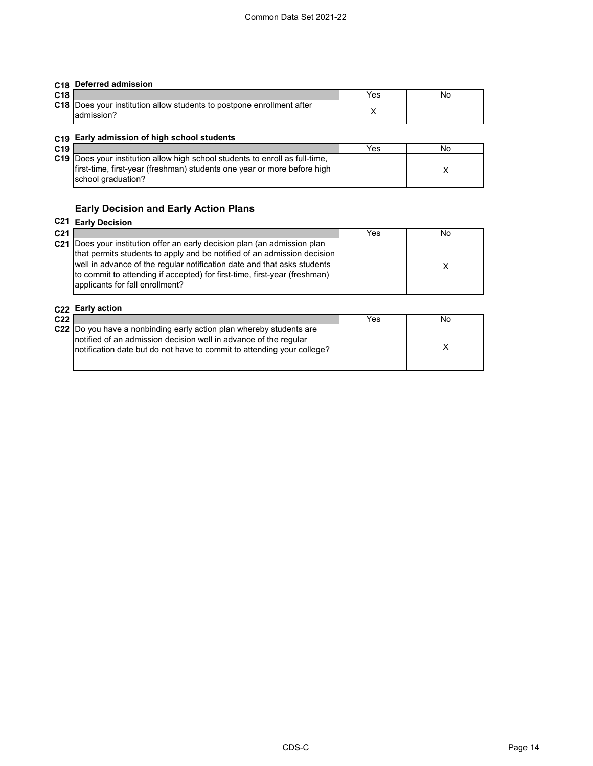### **C18 Deferred admission**

| C <sub>18</sub> |                                                                                             | Yes | NC |
|-----------------|---------------------------------------------------------------------------------------------|-----|----|
|                 | <b>C18</b> Does your institution allow students to postpone enrollment after<br>radmission? |     |    |

#### **C19 Early admission of high school students**

| .<br>C19 |                                                                                                                                                                                      | Yes | Νo |  |
|----------|--------------------------------------------------------------------------------------------------------------------------------------------------------------------------------------|-----|----|--|
|          | <b>C19</b> Does your institution allow high school students to enroll as full-time.<br>first-time, first-year (freshman) students one year or more before high<br>school graduation? |     |    |  |

### **Early Decision and Early Action Plans**

#### **C21 Early Decision C21** Yes No **C21** Does your institution offer an early decision plan (an admission plan X that permits students to apply and be notified of an admission decision well in advance of the regular notification date and that asks students to commit to attending if accepted) for first-time, first-year (freshman) applicants for fall enrollment?

#### **C22 Early action**

| C <sub>22</sub> |                                                                                                                                            | Yes | No |  |
|-----------------|--------------------------------------------------------------------------------------------------------------------------------------------|-----|----|--|
|                 | C22 Do you have a nonbinding early action plan whereby students are                                                                        |     |    |  |
|                 | notified of an admission decision well in advance of the regular<br>notification date but do not have to commit to attending your college? |     |    |  |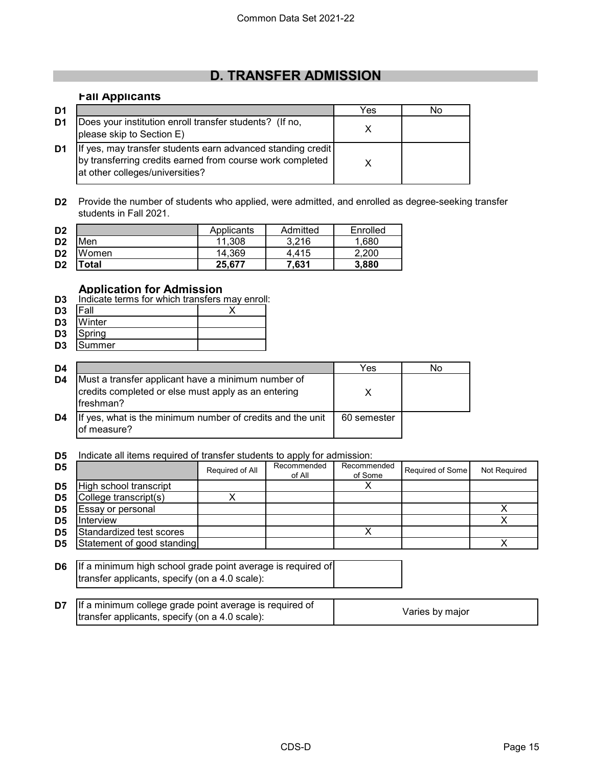# **D. TRANSFER ADMISSION**

### **Fall Applicants**

| D1 |                                                                                                                                                             | Yes | Nο |
|----|-------------------------------------------------------------------------------------------------------------------------------------------------------------|-----|----|
| D1 | Does your institution enroll transfer students? (If no,<br>please skip to Section E)                                                                        |     |    |
| D1 | If yes, may transfer students earn advanced standing credit<br>by transferring credits earned from course work completed<br>at other colleges/universities? |     |    |

**D2** Provide the number of students who applied, were admitted, and enrolled as degree-seeking transfer students in Fall 2021.

| D <sub>2</sub> |       | Applicants | Admitted | Enrolled |
|----------------|-------|------------|----------|----------|
| D <sub>2</sub> | Men   | 11.308     | 3.216    | 1,680    |
| D <sub>2</sub> | Women | 14.369     | 4.415    | 2.200    |
| D <sub>2</sub> | Total | 25.677     | 7.631    | 3,880    |

### **Application for Admission**

| D <sub>3</sub> | Indicate terms for which transfers may enroll: |  |  |  |  |
|----------------|------------------------------------------------|--|--|--|--|
|                |                                                |  |  |  |  |

- **D3** Fall X
- **D3** Winter
- D3 Spring<br>D3 Summ **D3** Summer

| D4 |                                                                                                                        | Yes         | No |
|----|------------------------------------------------------------------------------------------------------------------------|-------------|----|
| D4 | Must a transfer applicant have a minimum number of<br>credits completed or else must apply as an entering<br>freshman? |             |    |
| D4 | If yes, what is the minimum number of credits and the unit<br>of measure?                                              | 60 semester |    |

**D5** Indicate all items required of transfer students to apply for admission:

| D <sub>5</sub> |                            | Required of All | Recommended<br>of All | Recommended<br>of Some | Required of Some | Not Required |
|----------------|----------------------------|-----------------|-----------------------|------------------------|------------------|--------------|
| D <sub>5</sub> | High school transcript     |                 |                       |                        |                  |              |
| D <sub>5</sub> | College transcript(s)      |                 |                       |                        |                  |              |
| D <sub>5</sub> | Essay or personal          |                 |                       |                        |                  |              |
| D <sub>5</sub> | Interview                  |                 |                       |                        |                  |              |
| D <sub>5</sub> | Standardized test scores   |                 |                       |                        |                  |              |
| D <sub>5</sub> | Statement of good standing |                 |                       |                        |                  |              |

| <b>D6</b> If a minimum high school grade point average is required of |  |
|-----------------------------------------------------------------------|--|
| transfer applicants, specify (on a 4.0 scale):                        |  |

| <b>D7</b> If a minimum college grade point average is required of |                 |
|-------------------------------------------------------------------|-----------------|
| transfer applicants, specify (on a 4.0 scale):                    | Varies by major |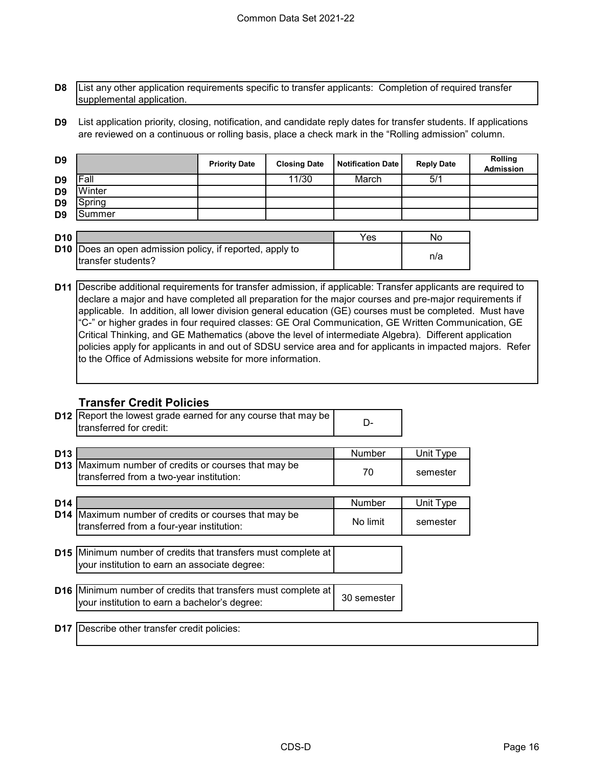**D8** List any other application requirements specific to transfer applicants: Completion of required transfer supplemental application.

**D9** List application priority, closing, notification, and candidate reply dates for transfer students. If applications are reviewed on a continuous or rolling basis, place a check mark in the "Rolling admission" column.

| D <sub>9</sub>  |        | <b>Priority Date</b> | <b>Closing Date</b> | <b>Notification Date</b> | <b>Reply Date</b> | Rolling<br>Admission |
|-----------------|--------|----------------------|---------------------|--------------------------|-------------------|----------------------|
| D <sub>9</sub>  | Fall   |                      | 11/30               | March                    | 5/1               |                      |
| D <sub>9</sub>  | Winter |                      |                     |                          |                   |                      |
| D <sub>9</sub>  | Spring |                      |                     |                          |                   |                      |
| D <sub>9</sub>  | Summer |                      |                     |                          |                   |                      |
|                 |        |                      |                     |                          |                   |                      |
| D <sub>10</sub> |        |                      |                     | Yes                      | No                |                      |

| וטוט |                                                                 | ັບ | .   |  |
|------|-----------------------------------------------------------------|----|-----|--|
|      | <b>D10</b> Does an open admission policy, if reported, apply to |    |     |  |
|      | Itransfer students?                                             |    | n/a |  |
|      |                                                                 |    |     |  |

**D11** Describe additional requirements for transfer admission, if applicable: Transfer applicants are required to declare a major and have completed all preparation for the major courses and pre-major requirements if applicable. In addition, all lower division general education (GE) courses must be completed. Must have "C-" or higher grades in four required classes: GE Oral Communication, GE Written Communication, GE Critical Thinking, and GE Mathematics (above the level of intermediate Algebra). Different application policies apply for applicants in and out of SDSU service area and for applicants in impacted majors. Refer to the Office of Admissions website for more information.

### **Transfer Credit Policies**

|                 | <b>D12</b> Report the lowest grade earned for any course that may be<br>transferred for credit:                       | D-                 |                       |
|-----------------|-----------------------------------------------------------------------------------------------------------------------|--------------------|-----------------------|
| D <sub>13</sub> | <b>D13</b> Maximum number of credits or courses that may be<br>transferred from a two-year institution:               | Number<br>70       | Unit Type<br>semester |
| D <sub>14</sub> | D14 Maximum number of credits or courses that may be<br>transferred from a four-year institution:                     | Number<br>No limit | Unit Type<br>semester |
|                 | <b>D15</b> Minimum number of credits that transfers must complete at<br>your institution to earn an associate degree: |                    |                       |
|                 | <b>D16</b> Minimum number of credits that transfers must complete at<br>your institution to earn a bachelor's degree: | 30 semester        |                       |
| D <sub>17</sub> | Describe other transfer credit policies:                                                                              |                    |                       |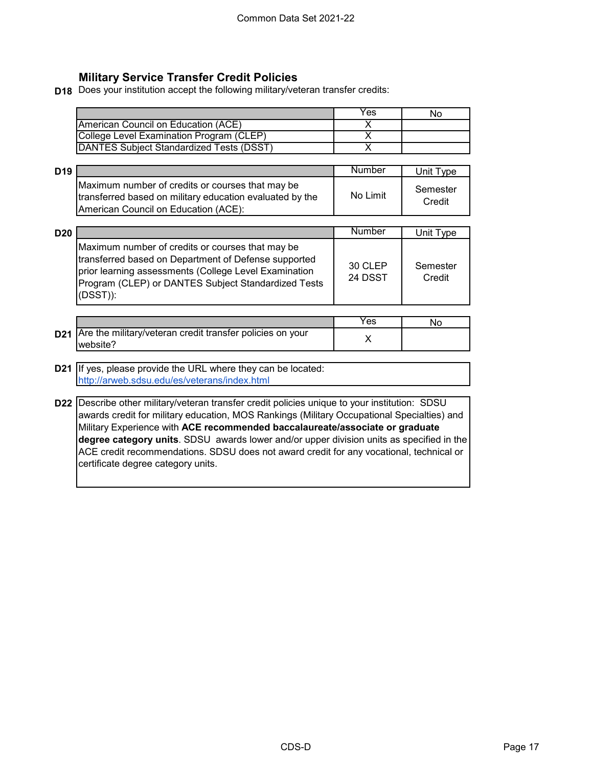## **Military Service Transfer Credit Policies**

**D18** Does your institution accept the following military/veteran transfer credits:

|                                          | Yes | Nο |
|------------------------------------------|-----|----|
| American Council on Education (ACE)      |     |    |
| College Level Examination Program (CLEP) |     |    |
| DANTES Subject Standardized Tests (DSST) |     |    |

| D <sub>19</sub> |                                                                                                                                                      | Number   | Unit Type          |
|-----------------|------------------------------------------------------------------------------------------------------------------------------------------------------|----------|--------------------|
|                 | Maximum number of credits or courses that may be<br>transferred based on military education evaluated by the<br>American Council on Education (ACE): | No Limit | Semester<br>Credit |

| D <sub>20</sub> |                                                                                                                                                                                                                                         | Number             | Unit Type          |
|-----------------|-----------------------------------------------------------------------------------------------------------------------------------------------------------------------------------------------------------------------------------------|--------------------|--------------------|
|                 | Maximum number of credits or courses that may be<br>transferred based on Department of Defense supported<br>prior learning assessments (College Level Examination<br>Program (CLEP) or DANTES Subject Standardized Tests<br>$(DSST))$ : | 30 CLEP<br>24 DSST | Semester<br>Credit |

|                                                                             | Y es | NC |
|-----------------------------------------------------------------------------|------|----|
| D21   Are the military/veteran credit transfer policies on your<br>website? |      |    |

### **D21** If yes, please provide the URL where they can be located: http://arweb.sdsu.edu/es/veterans/index.html

**D22** Describe other military/veteran transfer credit policies unique to your institution: SDSU awards credit for military education, MOS Rankings (Military Occupational Specialties) and Military Experience with **ACE recommended baccalaureate/associate or graduate degree category units**. SDSU awards lower and/or upper division units as specified in the ACE credit recommendations. SDSU does not award credit for any vocational, technical or certificate degree category units.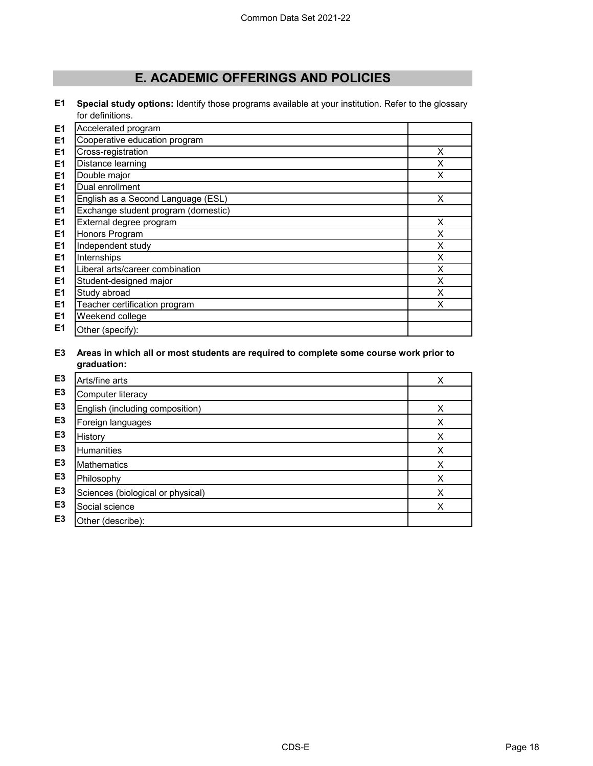# **E. ACADEMIC OFFERINGS AND POLICIES**

**E1 Special study options:** Identify those programs available at your institution. Refer to the glossary for definitions.

| E <sub>1</sub> | Accelerated program                 |   |
|----------------|-------------------------------------|---|
| E <sub>1</sub> | Cooperative education program       |   |
| E <sub>1</sub> | Cross-registration                  | X |
| E <sub>1</sub> | Distance learning                   | X |
| E <sub>1</sub> | Double major                        | X |
| E <sub>1</sub> | Dual enrollment                     |   |
| E <sub>1</sub> | English as a Second Language (ESL)  | X |
| E <sub>1</sub> | Exchange student program (domestic) |   |
| E <sub>1</sub> | External degree program             | X |
| E1             | Honors Program                      | X |
| E <sub>1</sub> | Independent study                   | X |
| E <sub>1</sub> | Internships                         | X |
| E <sub>1</sub> | Liberal arts/career combination     | X |
| E <sub>1</sub> | Student-designed major              | X |
| E <sub>1</sub> | Study abroad                        | X |
| E1             | Teacher certification program       | X |
| E1             | Weekend college                     |   |
| E <sub>1</sub> | Other (specify):                    |   |

### **E3 Areas in which all or most students are required to complete some course work prior to graduation:**

| E <sub>3</sub> | Arts/fine arts                    | X |
|----------------|-----------------------------------|---|
| E3             | Computer literacy                 |   |
| E <sub>3</sub> | English (including composition)   | X |
| E <sub>3</sub> | Foreign languages                 | х |
| E <sub>3</sub> | History                           | x |
| E <sub>3</sub> | <b>Humanities</b>                 | X |
| E <sub>3</sub> | <b>Mathematics</b>                | х |
| E <sub>3</sub> | Philosophy                        | X |
| E <sub>3</sub> | Sciences (biological or physical) | X |
| E <sub>3</sub> | Social science                    | Χ |
| E3             | Other (describe):                 |   |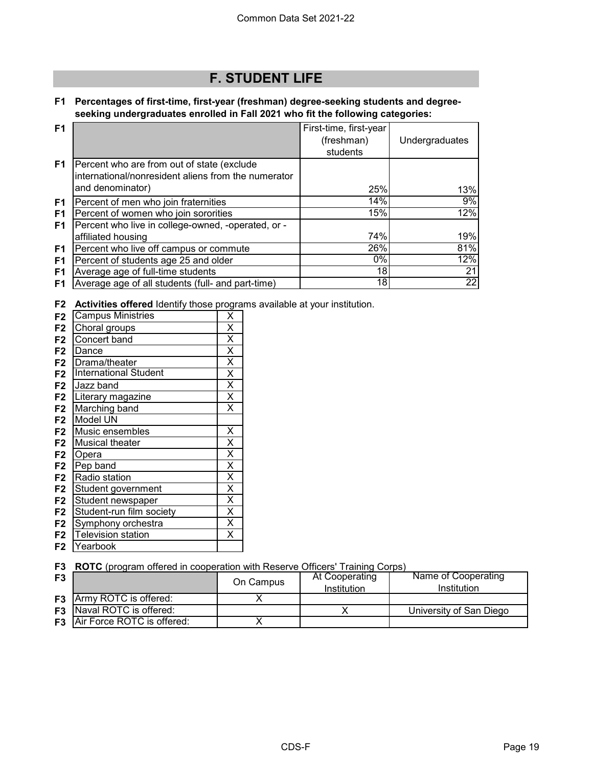# **F. STUDENT LIFE**

### **F1 Percentages of first-time, first-year (freshman) degree-seeking students and degreeseeking undergraduates enrolled in Fall 2021 who fit the following categories:**

| F <sub>1</sub> |                                                     | First-time, first-year |                |
|----------------|-----------------------------------------------------|------------------------|----------------|
|                |                                                     | (freshman)             | Undergraduates |
|                |                                                     | students               |                |
| F <sub>1</sub> | Percent who are from out of state (exclude          |                        |                |
|                | international/nonresident aliens from the numerator |                        |                |
|                | and denominator)                                    | 25%                    | 13%            |
| F1             | Percent of men who join fraternities                | 14%                    | 9%             |
| F <sub>1</sub> | Percent of women who join sororities                | 15%                    | 12%            |
| F1             | Percent who live in college-owned, -operated, or -  |                        |                |
|                | affiliated housing                                  | 74%                    | 19%            |
| F1             | Percent who live off campus or commute              | 26%                    | 81%            |
| F1             | Percent of students age 25 and older                | 0%                     | 12%            |
| F1             | Average age of full-time students                   | 18                     | 21             |
| F1             | Average age of all students (full- and part-time)   | 181                    | 22             |

**F2 Activities offered** Identify those programs available at your institution.

| F <sub>2</sub> | <b>Campus Ministries</b>     | $\overline{\mathsf{x}}$ |
|----------------|------------------------------|-------------------------|
| F <sub>2</sub> | Choral groups                | $\overline{\mathsf{x}}$ |
| F <sub>2</sub> | Concert band                 | X                       |
| F <sub>2</sub> | Dance                        | X                       |
| F <sub>2</sub> | Drama/theater                | $\overline{\mathsf{x}}$ |
| F <sub>2</sub> | <b>International Student</b> | $\overline{\mathsf{x}}$ |
| F <sub>2</sub> | Jazz band                    | $\overline{\mathsf{x}}$ |
| F <sub>2</sub> | Literary magazine            | $\overline{\mathsf{x}}$ |
| F <sub>2</sub> | Marching band                | X                       |
| F <sub>2</sub> | Model UN                     |                         |
| F <sub>2</sub> | Music ensembles              | Χ                       |
| F <sub>2</sub> | Musical theater              | $\overline{\mathsf{x}}$ |
| F <sub>2</sub> | Opera                        | X                       |
| F <sub>2</sub> | Pep band                     | X                       |
| F <sub>2</sub> | <b>Radio station</b>         | $\overline{\mathsf{x}}$ |
| F <sub>2</sub> | Student government           | $\overline{\mathsf{x}}$ |
| F <sub>2</sub> | Student newspaper            | $\overline{\mathsf{x}}$ |
| F <sub>2</sub> | Student-run film society     | $\overline{\mathsf{x}}$ |
| F <sub>2</sub> | Symphony orchestra           | Χ                       |
| F <sub>2</sub> | <b>Television station</b>    | X                       |
| F <sub>2</sub> | Yearbook                     |                         |

**F3 ROTC** (program offered in cooperation with Reserve Officers' Training Corps)

| F <sub>3</sub> |                                      | On Campus | At Cooperating<br>Institution | Name of Cooperating<br>Institution |
|----------------|--------------------------------------|-----------|-------------------------------|------------------------------------|
|                | <b>F3</b> Army ROTC is offered:      |           |                               |                                    |
|                | <b>F3</b> Naval ROTC is offered:     |           |                               | University of San Diego            |
|                | <b>F3</b> Air Force ROTC is offered: |           |                               |                                    |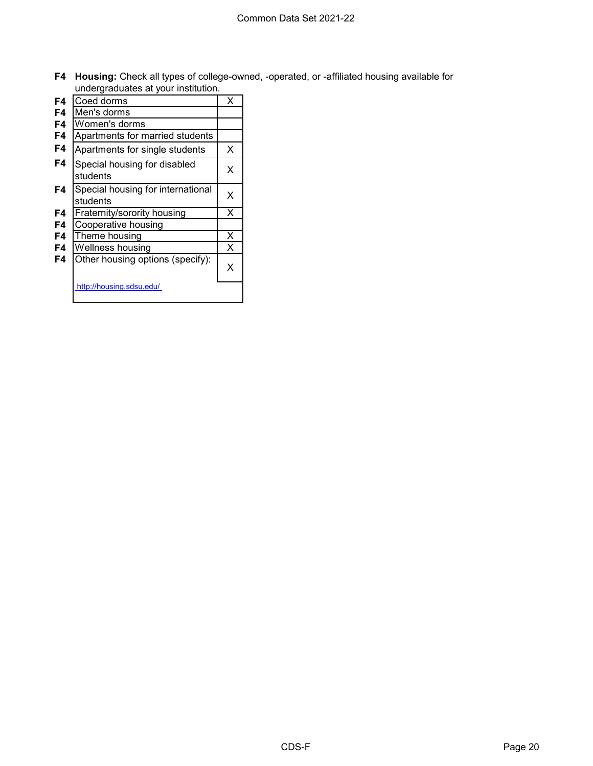**F4 Housing:** Check all types of college-owned, -operated, or -affiliated housing available for undergraduates at your institution.

|    | unuci grauuates at your motitution.           |   |
|----|-----------------------------------------------|---|
| F4 | Coed dorms                                    | x |
| F4 | Men's dorms                                   |   |
| F4 | Women's dorms                                 |   |
| F4 | Apartments for married students               |   |
| F4 | Apartments for single students                | х |
| F4 | Special housing for disabled<br>students      | x |
| F4 | Special housing for international<br>students | х |
| F4 | Fraternity/sorority housing                   | X |
| F4 | Cooperative housing                           |   |
| F4 | Theme housing                                 | X |
| F4 | Wellness housing                              | X |
| F4 | Other housing options (specify):              | x |
|    | http://housing.sdsu.edu/                      |   |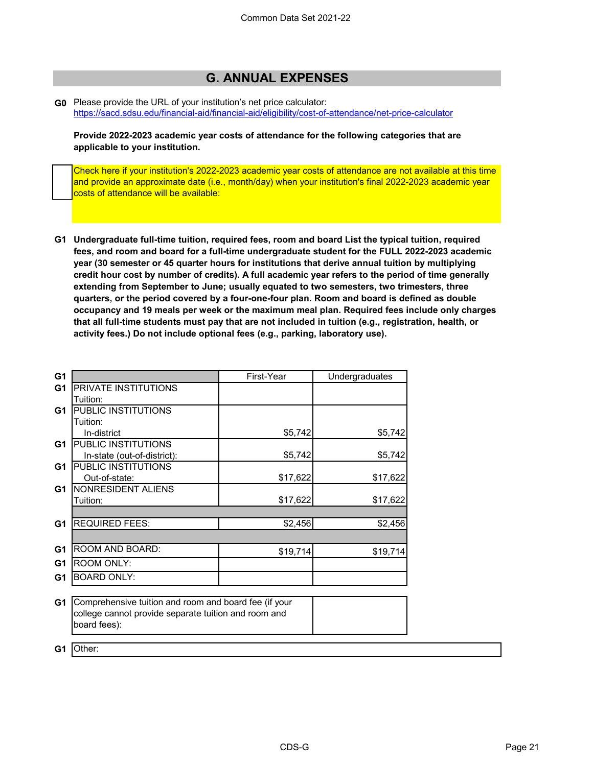# **G. ANNUAL EXPENSES**

**G0** Please provide the URL of your institution's net price calculator: <https://sacd.sdsu.edu/financial-aid/financial-aid/eligibility/cost-of-attendance/net-price-calculator>

**Provide 2022-2023 academic year costs of attendance for the following categories that are applicable to your institution.**

Check here if your institution's 2022-2023 academic year costs of attendance are not available at this time and provide an approximate date (i.e., month/day) when your institution's final 2022-2023 academic year costs of attendance will be available:

**G1 Undergraduate full-time tuition, required fees, room and board List the typical tuition, required fees, and room and board for a full-time undergraduate student for the FULL 2022-2023 academic year (30 semester or 45 quarter hours for institutions that derive annual tuition by multiplying credit hour cost by number of credits). A full academic year refers to the period of time generally extending from September to June; usually equated to two semesters, two trimesters, three quarters, or the period covered by a four-one-four plan. Room and board is defined as double occupancy and 19 meals per week or the maximum meal plan. Required fees include only charges that all full-time students must pay that are not included in tuition (e.g., registration, health, or activity fees.) Do not include optional fees (e.g., parking, laboratory use).**

| G <sub>1</sub> |                                                       | First-Year | Undergraduates |
|----------------|-------------------------------------------------------|------------|----------------|
| G <sub>1</sub> | <b>PRIVATE INSTITUTIONS</b>                           |            |                |
|                | Tuition:                                              |            |                |
| G1             | PUBLIC INSTITUTIONS                                   |            |                |
|                | Tuition:                                              |            |                |
|                | In-district                                           | \$5,742    | \$5,742        |
| G <sub>1</sub> | <b>PUBLIC INSTITUTIONS</b>                            |            |                |
|                | In-state (out-of-district):                           | \$5,742    | \$5,742        |
| G1             | PUBLIC INSTITUTIONS                                   |            |                |
|                | Out-of-state:                                         | \$17,622   | \$17,622       |
| G1             | <b>NONRESIDENT ALIENS</b>                             |            |                |
|                | Tuition:                                              | \$17,622   | \$17,622       |
|                |                                                       |            |                |
| G <sub>1</sub> | <b>REQUIRED FEES:</b>                                 | \$2,456    | \$2,456        |
|                |                                                       |            |                |
| G1             | ROOM AND BOARD:                                       | \$19,714   | \$19,714       |
| G <sub>1</sub> | <b>ROOM ONLY:</b>                                     |            |                |
| G1             | <b>BOARD ONLY:</b>                                    |            |                |
|                |                                                       |            |                |
| G <sub>1</sub> | Comprehensive tuition and room and board fee (if your |            |                |
|                | college cannot provide separate tuition and room and  |            |                |
|                | board fees):                                          |            |                |
|                |                                                       |            |                |
| G1             | Other:                                                |            |                |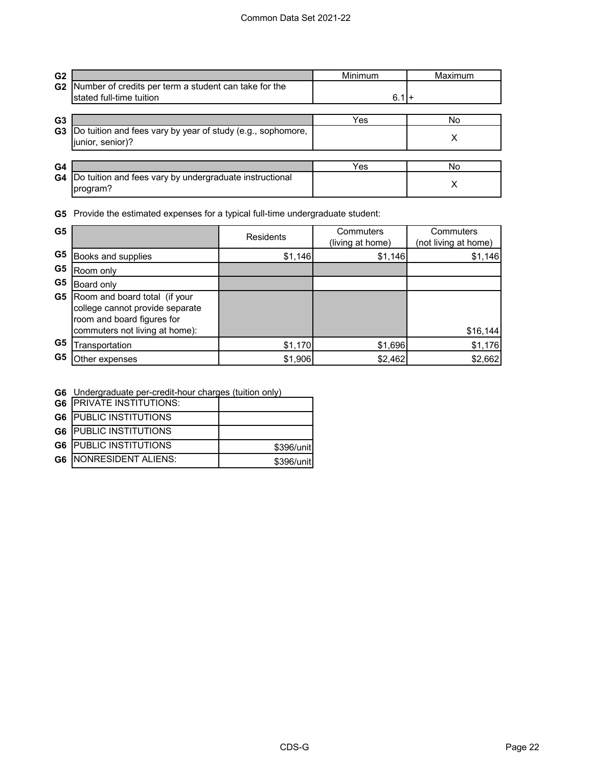| G <sub>2</sub> |                                                                                 | Minimum | Maximum |
|----------------|---------------------------------------------------------------------------------|---------|---------|
| G <sub>2</sub> | Number of credits per term a student can take for the                           |         |         |
|                | stated full-time tuition                                                        | $6.1 +$ |         |
| G <sub>3</sub> |                                                                                 | Yes     | No      |
| G3             | Do tuition and fees vary by year of study (e.g., sophomore,<br>junior, senior)? |         | х       |
|                |                                                                                 |         |         |
| G4             |                                                                                 | Yes     | No      |
| G4             | Do tuition and fees vary by undergraduate instructional<br>program?             |         | Х       |

**G5** Provide the estimated expenses for a typical full-time undergraduate student:

| G <sub>5</sub> |                                                                                                                                            | <b>Residents</b> | Commuters<br>(living at home) | Commuters<br>(not living at home) |
|----------------|--------------------------------------------------------------------------------------------------------------------------------------------|------------------|-------------------------------|-----------------------------------|
| G5             | Books and supplies                                                                                                                         | \$1,146          | \$1,146                       | \$1,146                           |
| G5             | Room only                                                                                                                                  |                  |                               |                                   |
| G <sub>5</sub> | Board only                                                                                                                                 |                  |                               |                                   |
|                | <b>G5</b> Room and board total (if your<br>college cannot provide separate<br>room and board figures for<br>commuters not living at home): |                  |                               | \$16, 144                         |
| G <sub>5</sub> | Transportation                                                                                                                             | \$1,170          | \$1,696                       | \$1,176                           |
| G <sub>5</sub> | Other expenses                                                                                                                             | \$1,906          | \$2,462                       | \$2,662                           |

| G6 Undergraduate per-credit-hour charges (tuition only) |  |  |
|---------------------------------------------------------|--|--|
|                                                         |  |  |

| <b>G6 PRIVATE INSTITUTIONS:</b> |            |
|---------------------------------|------------|
| <b>G6 PUBLIC INSTITUTIONS</b>   |            |
| <b>G6 PUBLIC INSTITUTIONS</b>   |            |
| <b>G6 PUBLIC INSTITUTIONS</b>   | \$396/unit |
| <b>G6  NONRESIDENT ALIENS:</b>  | \$396/unit |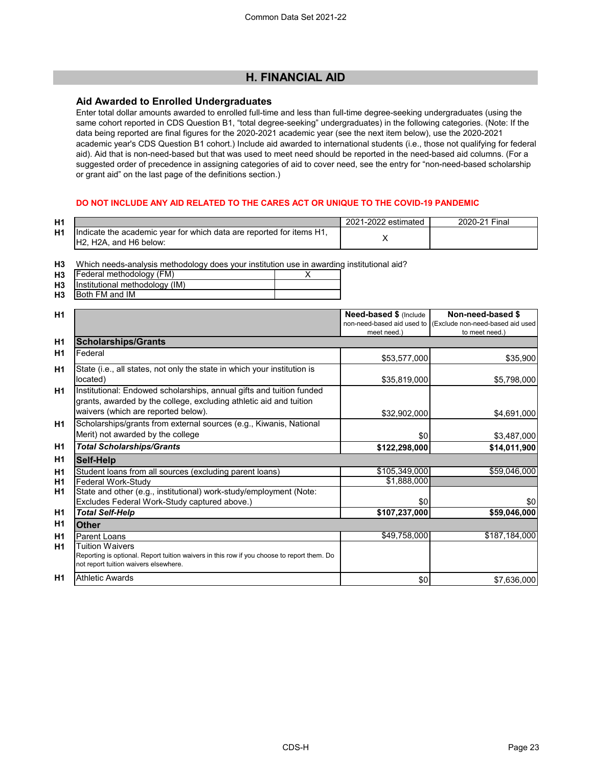### **H. FINANCIAL AID**

#### **Aid Awarded to Enrolled Undergraduates**

Enter total dollar amounts awarded to enrolled full-time and less than full-time degree-seeking undergraduates (using the same cohort reported in CDS Question B1, "total degree-seeking" undergraduates) in the following categories. (Note: If the data being reported are final figures for the 2020-2021 academic year (see the next item below), use the 2020-2021 academic year's CDS Question B1 cohort.) Include aid awarded to international students (i.e., those not qualifying for federal aid). Aid that is non-need-based but that was used to meet need should be reported in the need-based aid columns. (For a suggested order of precedence in assigning categories of aid to cover need, see the entry for "non-need-based scholarship or grant aid" on the last page of the definitions section.)

#### **DO NOT INCLUDE ANY AID RELATED TO THE CARES ACT OR UNIQUE TO THE COVID-19 PANDEMIC**

| H1             |                                                                                                 | 2021-2022 estimated | 2020-21 Final |
|----------------|-------------------------------------------------------------------------------------------------|---------------------|---------------|
| H <sub>1</sub> | Indicate the academic year for which data are reported for items H1,<br>IH2, H2A, and H6 below: |                     |               |

**H3** Which needs-analysis methodology does your institution use in awarding institutional aid?

| H <sub>3</sub> | Federal methodology (FM)       |  |
|----------------|--------------------------------|--|
| H <sub>3</sub> | Institutional methodology (IM) |  |
| H <sub>3</sub> | <b>Both FM and IM</b>          |  |

| H1             |                                                                                                                                                                                   | <b>Need-based \$ (Include)</b> | Non-need-based \$                                            |
|----------------|-----------------------------------------------------------------------------------------------------------------------------------------------------------------------------------|--------------------------------|--------------------------------------------------------------|
|                |                                                                                                                                                                                   |                                | non-need-based aid used to (Exclude non-need-based aid used) |
|                |                                                                                                                                                                                   | meet need.)                    | to meet need.)                                               |
| H <sub>1</sub> | <b>Scholarships/Grants</b>                                                                                                                                                        |                                |                                                              |
| H1             | Federal                                                                                                                                                                           | \$53,577,000                   | \$35,900                                                     |
| H1             | State (i.e., all states, not only the state in which your institution is                                                                                                          |                                |                                                              |
|                | located)                                                                                                                                                                          | \$35,819,000                   | \$5,798,000                                                  |
| <b>H1</b>      | Institutional: Endowed scholarships, annual gifts and tuition funded<br>grants, awarded by the college, excluding athletic aid and tuition<br>waivers (which are reported below). |                                |                                                              |
|                |                                                                                                                                                                                   | \$32,902,000                   | \$4,691,000                                                  |
| H <sub>1</sub> | Scholarships/grants from external sources (e.g., Kiwanis, National<br>Merit) not awarded by the college                                                                           | \$0                            | \$3,487,000                                                  |
| H1             | <b>Total Scholarships/Grants</b>                                                                                                                                                  | \$122,298,000                  | \$14,011,900                                                 |
| H <sub>1</sub> | Self-Help                                                                                                                                                                         |                                |                                                              |
| H1             | Student loans from all sources (excluding parent loans)                                                                                                                           | \$105,349,000                  | \$59,046,000                                                 |
| H1             | <b>Federal Work-Study</b>                                                                                                                                                         | \$1,888,000                    |                                                              |
| <b>H1</b>      | State and other (e.g., institutional) work-study/employment (Note:                                                                                                                |                                |                                                              |
|                | Excludes Federal Work-Study captured above.)                                                                                                                                      | \$0                            | \$0                                                          |
| H <sub>1</sub> | <b>Total Self-Help</b>                                                                                                                                                            | \$107,237,000                  | \$59,046,000                                                 |
| H1             | <b>Other</b>                                                                                                                                                                      |                                |                                                              |
| H1             | Parent Loans                                                                                                                                                                      | \$49,758,000                   | \$187,184,000                                                |
| H <sub>1</sub> | <b>Tuition Waivers</b>                                                                                                                                                            |                                |                                                              |
|                | Reporting is optional. Report tuition waivers in this row if you choose to report them. Do<br>not report tuition waivers elsewhere.                                               |                                |                                                              |
| <b>H1</b>      | <b>Athletic Awards</b>                                                                                                                                                            | \$0                            | \$7,636,000                                                  |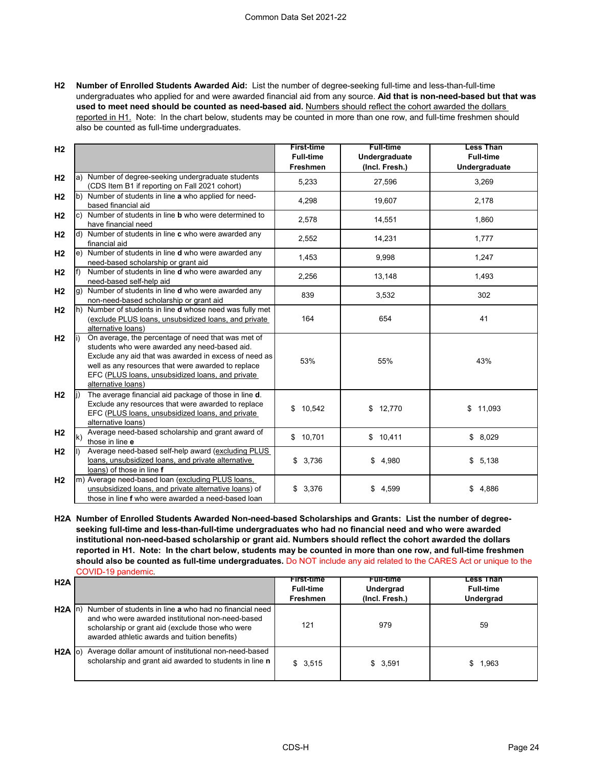**H2 Number of Enrolled Students Awarded Aid:** List the number of degree-seeking full-time and less-than-full-time undergraduates who applied for and were awarded financial aid from any source. **Aid that is non-need-based but that was used to meet need should be counted as need-based aid.** Numbers should reflect the cohort awarded the dollars reported in H1. Note: In the chart below, students may be counted in more than one row, and full-time freshmen should also be counted as full-time undergraduates.

| H <sub>2</sub> |                                                                                                                                                                                                                                                                                                     | <b>First-time</b><br><b>Full-time</b><br>Freshmen | <b>Full-time</b><br>Undergraduate<br>(Incl. Fresh.) | <b>Less Than</b><br><b>Full-time</b><br>Undergraduate |
|----------------|-----------------------------------------------------------------------------------------------------------------------------------------------------------------------------------------------------------------------------------------------------------------------------------------------------|---------------------------------------------------|-----------------------------------------------------|-------------------------------------------------------|
| H <sub>2</sub> | a) Number of degree-seeking undergraduate students<br>(CDS Item B1 if reporting on Fall 2021 cohort)                                                                                                                                                                                                | 5,233                                             | 27,596                                              | 3,269                                                 |
| H <sub>2</sub> | Number of students in line a who applied for need-<br>b)<br>based financial aid                                                                                                                                                                                                                     | 4,298                                             | 19,607                                              | 2,178                                                 |
| H <sub>2</sub> | Number of students in line <b>b</b> who were determined to<br>C)<br>have financial need                                                                                                                                                                                                             | 2,578                                             | 14,551                                              | 1,860                                                 |
| H <sub>2</sub> | Number of students in line c who were awarded any<br>ld)<br>financial aid                                                                                                                                                                                                                           | 2,552                                             | 14,231                                              | 1,777                                                 |
| H <sub>2</sub> | Number of students in line d who were awarded any<br>e)<br>need-based scholarship or grant aid                                                                                                                                                                                                      | 1,453                                             | 9,998                                               | 1,247                                                 |
| H <sub>2</sub> | Number of students in line <b>d</b> who were awarded any<br>lf).<br>need-based self-help aid                                                                                                                                                                                                        | 2,256                                             | 13,148                                              | 1,493                                                 |
| H <sub>2</sub> | g) Number of students in line <b>d</b> who were awarded any<br>non-need-based scholarship or grant aid                                                                                                                                                                                              | 839                                               | 3,532                                               | 302                                                   |
| H <sub>2</sub> | h) Number of students in line <b>d</b> whose need was fully met<br>(exclude PLUS loans, unsubsidized loans, and private<br>alternative loans)                                                                                                                                                       | 164                                               | 654                                                 | 41                                                    |
| H <sub>2</sub> | On average, the percentage of need that was met of<br>li)<br>students who were awarded any need-based aid.<br>Exclude any aid that was awarded in excess of need as<br>well as any resources that were awarded to replace<br>EFC (PLUS loans, unsubsidized loans, and private<br>alternative loans) | 53%                                               | 55%                                                 | 43%                                                   |
| H <sub>2</sub> | The average financial aid package of those in line d.<br>li)<br>Exclude any resources that were awarded to replace<br>EFC (PLUS loans, unsubsidized loans, and private<br>alternative loans)                                                                                                        | \$10,542                                          | \$12,770                                            | \$11,093                                              |
| H <sub>2</sub> | Average need-based scholarship and grant award of<br>$\mathsf{k}$<br>those in line e                                                                                                                                                                                                                | \$10,701                                          | \$10,411                                            | \$8,029                                               |
| H <sub>2</sub> | Average need-based self-help award (excluding PLUS<br>loans, unsubsidized loans, and private alternative<br>loans) of those in line f                                                                                                                                                               | \$3,736                                           | \$4,980                                             | \$5,138                                               |
| H <sub>2</sub> | m) Average need-based loan (excluding PLUS loans,<br>unsubsidized loans, and private alternative loans) of<br>those in line f who were awarded a need-based loan                                                                                                                                    | \$3,376                                           | \$<br>4,599                                         | \$4,886                                               |

**H2A Number of Enrolled Students Awarded Non-need-based Scholarships and Grants: List the number of degreeseeking full-time and less-than-full-time undergraduates who had no financial need and who were awarded institutional non-need-based scholarship or grant aid. Numbers should reflect the cohort awarded the dollars reported in H1. Note: In the chart below, students may be counted in more than one row, and full-time freshmen should also be counted as full-time undergraduates.** Do NOT include any aid related to the CARES Act or unique to the COVID-19 pandemic.

| H2A                 |                                                                                                                                                                                                                  | <b>First-time</b><br><b>Full-time</b><br>Freshmen | <b>Full-time</b><br>Undergrad<br>(Incl. Fresh.) | Less Than<br><b>Full-time</b><br><b>Undergrad</b> |
|---------------------|------------------------------------------------------------------------------------------------------------------------------------------------------------------------------------------------------------------|---------------------------------------------------|-------------------------------------------------|---------------------------------------------------|
| H <sub>2</sub> A In | Number of students in line a who had no financial need<br>and who were awarded institutional non-need-based<br>scholarship or grant aid (exclude those who were<br>awarded athletic awards and tuition benefits) | 121                                               | 979                                             | 59                                                |
| H <sub>2</sub> A    | Average dollar amount of institutional non-need-based<br>scholarship and grant aid awarded to students in line n                                                                                                 | \$3,515                                           | \$3.591                                         | 1.963                                             |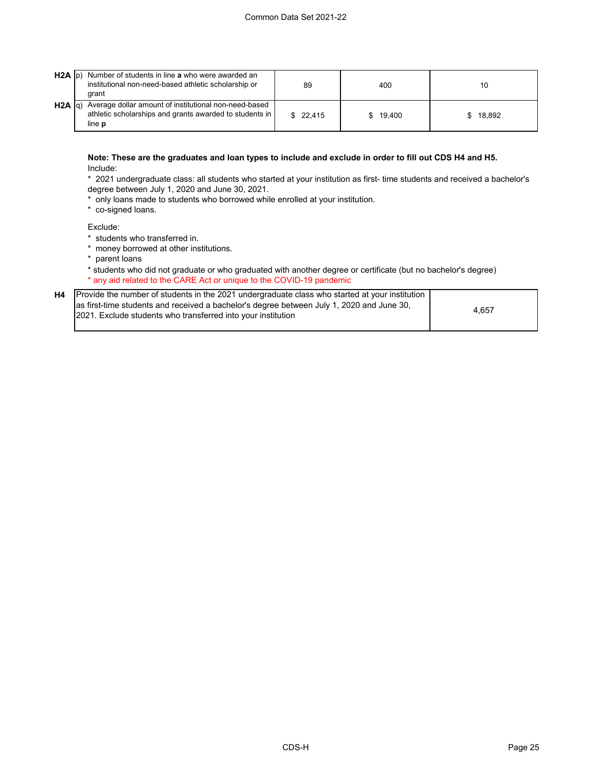| $H2A$ $ p\rangle$ | Number of students in line a who were awarded an<br>institutional non-need-based athletic scholarship or<br>arant          | 89       | 400      | 10     |
|-------------------|----------------------------------------------------------------------------------------------------------------------------|----------|----------|--------|
| $H2A  q\rangle$   | Average dollar amount of institutional non-need-based<br>athletic scholarships and grants awarded to students in<br>line p | \$22.415 | \$19.400 | 18.892 |

**Note: These are the graduates and loan types to include and exclude in order to fill out CDS H4 and H5.**  Include:

\* 2021 undergraduate class: all students who started at your institution as first- time students and received a bachelor's degree between July 1, 2020 and June 30, 2021.

- \* only loans made to students who borrowed while enrolled at your institution.
- \* co-signed loans.

Exclude:

- \* students who transferred in.
- \* money borrowed at other institutions.
- \* parent loans

\* students who did not graduate or who graduated with another degree or certificate (but no bachelor's degree) \* any aid related to the CARE Act or unique to the COVID-19 pandemic

| H4 Provide the number of students in the 2021 undergraduate class who started at your institution                                                                |       |
|------------------------------------------------------------------------------------------------------------------------------------------------------------------|-------|
| as first-time students and received a bachelor's degree between July 1, 2020 and June 30,<br><b>2021.</b> Exclude students who transferred into your institution | 4.657 |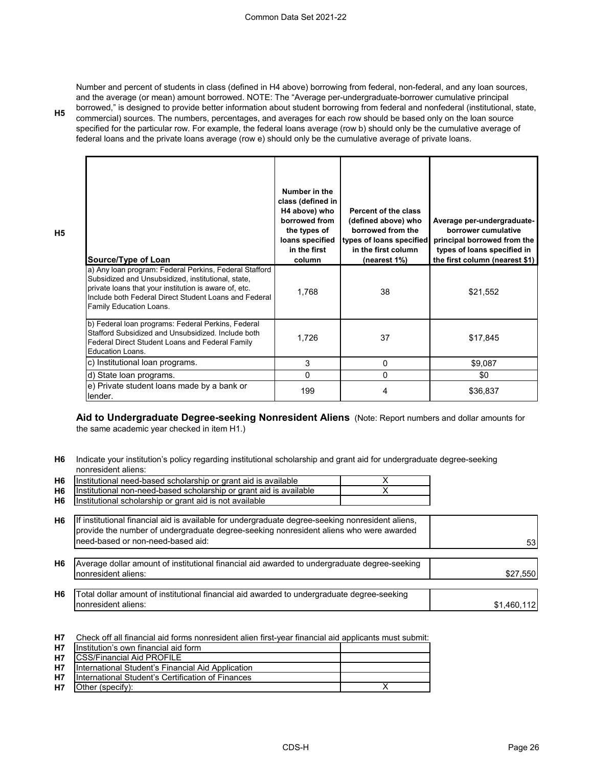**H5**

**H5**

Number and percent of students in class (defined in H4 above) borrowing from federal, non-federal, and any loan sources, and the average (or mean) amount borrowed. NOTE: The "Average per-undergraduate-borrower cumulative principal borrowed," is designed to provide better information about student borrowing from federal and nonfederal (institutional, state, commercial) sources. The numbers, percentages, and averages for each row should be based only on the loan source specified for the particular row. For example, the federal loans average (row b) should only be the cumulative average of federal loans and the private loans average (row e) should only be the cumulative average of private loans.

| Source/Type of Loan                                                                                                                                                                                                                                       | Number in the<br>class (defined in<br>H4 above) who<br>borrowed from<br>the types of<br>loans specified<br>in the first<br>column | Percent of the class<br>(defined above) who<br>borrowed from the<br>types of loans specified<br>in the first column<br>(nearest 1%) | Average per-undergraduate-<br>borrower cumulative<br>principal borrowed from the<br>types of loans specified in<br>the first column (nearest \$1) |
|-----------------------------------------------------------------------------------------------------------------------------------------------------------------------------------------------------------------------------------------------------------|-----------------------------------------------------------------------------------------------------------------------------------|-------------------------------------------------------------------------------------------------------------------------------------|---------------------------------------------------------------------------------------------------------------------------------------------------|
| a) Any loan program: Federal Perkins, Federal Stafford<br>Subsidized and Unsubsidized, institutional, state,<br>private loans that your institution is aware of, etc.<br>Include both Federal Direct Student Loans and Federal<br>Family Education Loans. | 1,768                                                                                                                             | 38                                                                                                                                  | \$21,552                                                                                                                                          |
| b) Federal loan programs: Federal Perkins, Federal<br>Stafford Subsidized and Unsubsidized. Include both<br>Federal Direct Student Loans and Federal Family<br>Education Loans.                                                                           | 1,726                                                                                                                             | 37                                                                                                                                  | \$17,845                                                                                                                                          |
| c) Institutional loan programs.                                                                                                                                                                                                                           | 3                                                                                                                                 | 0                                                                                                                                   | \$9,087                                                                                                                                           |
| d) State loan programs.                                                                                                                                                                                                                                   | $\Omega$                                                                                                                          | 0                                                                                                                                   | \$0                                                                                                                                               |
| e) Private student loans made by a bank or<br>lender.                                                                                                                                                                                                     | 199                                                                                                                               | 4                                                                                                                                   | \$36,837                                                                                                                                          |

**Aid to Undergraduate Degree-seeking Nonresident Aliens** (Note: Report numbers and dollar amounts for the same academic year checked in item H1.)

**H6** Indicate your institution's policy regarding institutional scholarship and grant aid for undergraduate degree-seeking nonresident aliens:

| H6             | Institutional need-based scholarship or grant aid is available                                                                                                                             |             |
|----------------|--------------------------------------------------------------------------------------------------------------------------------------------------------------------------------------------|-------------|
| H <sub>6</sub> | Institutional non-need-based scholarship or grant aid is available                                                                                                                         |             |
| H6             | Institutional scholarship or grant aid is not available                                                                                                                                    |             |
|                |                                                                                                                                                                                            |             |
| H6             | If institutional financial aid is available for undergraduate degree-seeking nonresident aliens,<br>provide the number of undergraduate degree-seeking nonresident aliens who were awarded |             |
|                | need-based or non-need-based aid:                                                                                                                                                          | 53          |
|                |                                                                                                                                                                                            |             |
| H6             | Average dollar amount of institutional financial aid awarded to undergraduate degree-seeking                                                                                               |             |
|                | nonresident aliens:                                                                                                                                                                        | \$27,550    |
|                |                                                                                                                                                                                            |             |
| H6             | Total dollar amount of institutional financial aid awarded to undergraduate degree-seeking                                                                                                 |             |
|                | nonresident aliens:                                                                                                                                                                        | \$1,460,112 |
|                |                                                                                                                                                                                            |             |

**H7** Check off all financial aid forms nonresident alien first-year financial aid applicants must submit:

| <b>H7</b> | Institution's own financial aid form              |  |
|-----------|---------------------------------------------------|--|
| <b>H7</b> | <b>ICSS/Financial Aid PROFILE</b>                 |  |
| <b>H7</b> | International Student's Financial Aid Application |  |
| <b>H7</b> | International Student's Certification of Finances |  |
| <b>H7</b> | <b>Other (specify):</b>                           |  |
|           |                                                   |  |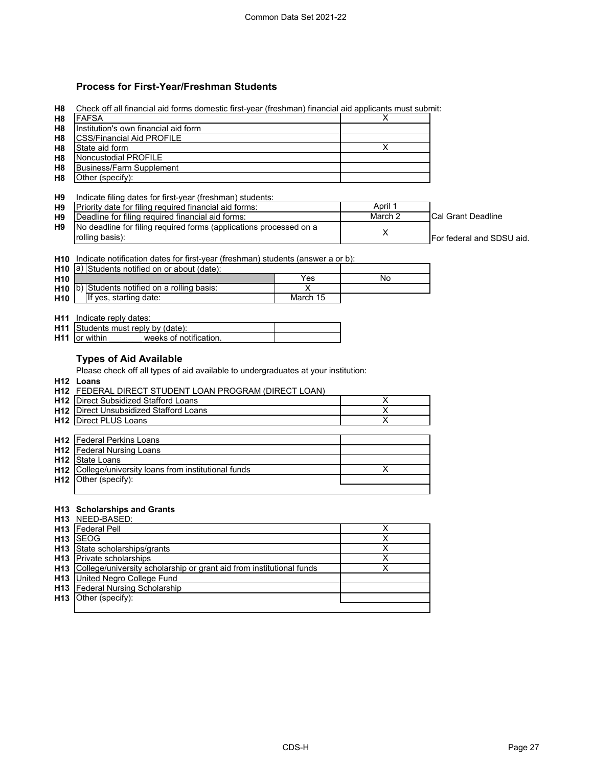### **Process for First-Year/Freshman Students**

| <b>FAFSA</b>                                                                                                        |                                                                                                                                                                                                 | X                                                                  |                                                                                                                                                                                                                          |
|---------------------------------------------------------------------------------------------------------------------|-------------------------------------------------------------------------------------------------------------------------------------------------------------------------------------------------|--------------------------------------------------------------------|--------------------------------------------------------------------------------------------------------------------------------------------------------------------------------------------------------------------------|
| Institution's own financial aid form                                                                                |                                                                                                                                                                                                 |                                                                    |                                                                                                                                                                                                                          |
|                                                                                                                     |                                                                                                                                                                                                 |                                                                    |                                                                                                                                                                                                                          |
| State aid form                                                                                                      |                                                                                                                                                                                                 | X                                                                  |                                                                                                                                                                                                                          |
| <b>Noncustodial PROFILE</b>                                                                                         |                                                                                                                                                                                                 |                                                                    |                                                                                                                                                                                                                          |
| <b>Business/Farm Supplement</b>                                                                                     |                                                                                                                                                                                                 |                                                                    |                                                                                                                                                                                                                          |
| Other (specify):                                                                                                    |                                                                                                                                                                                                 |                                                                    |                                                                                                                                                                                                                          |
|                                                                                                                     |                                                                                                                                                                                                 |                                                                    |                                                                                                                                                                                                                          |
| Indicate filing dates for first-year (freshman) students:                                                           |                                                                                                                                                                                                 |                                                                    |                                                                                                                                                                                                                          |
|                                                                                                                     |                                                                                                                                                                                                 |                                                                    |                                                                                                                                                                                                                          |
|                                                                                                                     |                                                                                                                                                                                                 |                                                                    | <b>Cal Grant Deadline</b>                                                                                                                                                                                                |
|                                                                                                                     |                                                                                                                                                                                                 |                                                                    |                                                                                                                                                                                                                          |
| rolling basis):                                                                                                     |                                                                                                                                                                                                 |                                                                    | For federal and SDSU aid.                                                                                                                                                                                                |
|                                                                                                                     |                                                                                                                                                                                                 |                                                                    |                                                                                                                                                                                                                          |
|                                                                                                                     |                                                                                                                                                                                                 |                                                                    |                                                                                                                                                                                                                          |
| H10 a) Students notified on or about (date):                                                                        |                                                                                                                                                                                                 |                                                                    |                                                                                                                                                                                                                          |
|                                                                                                                     | Yes                                                                                                                                                                                             | No                                                                 |                                                                                                                                                                                                                          |
|                                                                                                                     | X                                                                                                                                                                                               |                                                                    |                                                                                                                                                                                                                          |
| If yes, starting date:                                                                                              | March 15                                                                                                                                                                                        |                                                                    |                                                                                                                                                                                                                          |
|                                                                                                                     |                                                                                                                                                                                                 |                                                                    |                                                                                                                                                                                                                          |
| <b>H11</b> Indicate reply dates:                                                                                    |                                                                                                                                                                                                 |                                                                    |                                                                                                                                                                                                                          |
|                                                                                                                     |                                                                                                                                                                                                 |                                                                    |                                                                                                                                                                                                                          |
| H11 Students must reply by (date):                                                                                  |                                                                                                                                                                                                 |                                                                    |                                                                                                                                                                                                                          |
| <b>H11</b> or within<br>weeks of notification.                                                                      |                                                                                                                                                                                                 |                                                                    |                                                                                                                                                                                                                          |
| <b>Types of Aid Available</b><br>Please check off all types of aid available to undergraduates at your institution: |                                                                                                                                                                                                 |                                                                    |                                                                                                                                                                                                                          |
| H <sub>12</sub> Loans                                                                                               |                                                                                                                                                                                                 |                                                                    |                                                                                                                                                                                                                          |
| H12 FEDERAL DIRECT STUDENT LOAN PROGRAM (DIRECT LOAN)                                                               |                                                                                                                                                                                                 |                                                                    |                                                                                                                                                                                                                          |
| <b>H12</b> Direct Subsidized Stafford Loans                                                                         |                                                                                                                                                                                                 | X                                                                  |                                                                                                                                                                                                                          |
| H12 Direct Unsubsidized Stafford Loans                                                                              |                                                                                                                                                                                                 | $\overline{\mathsf{x}}$                                            |                                                                                                                                                                                                                          |
| <b>H12</b> Direct PLUS Loans                                                                                        |                                                                                                                                                                                                 | $\overline{\mathsf{x}}$                                            |                                                                                                                                                                                                                          |
|                                                                                                                     |                                                                                                                                                                                                 |                                                                    |                                                                                                                                                                                                                          |
| <b>H12</b> Federal Perkins Loans                                                                                    |                                                                                                                                                                                                 |                                                                    |                                                                                                                                                                                                                          |
| <b>H12</b> Federal Nursing Loans                                                                                    |                                                                                                                                                                                                 |                                                                    |                                                                                                                                                                                                                          |
| <b>H12</b> State Loans                                                                                              |                                                                                                                                                                                                 |                                                                    |                                                                                                                                                                                                                          |
| H12 College/university loans from institutional funds                                                               |                                                                                                                                                                                                 | X                                                                  |                                                                                                                                                                                                                          |
| H12 Other (specify):                                                                                                |                                                                                                                                                                                                 |                                                                    |                                                                                                                                                                                                                          |
|                                                                                                                     |                                                                                                                                                                                                 |                                                                    |                                                                                                                                                                                                                          |
|                                                                                                                     |                                                                                                                                                                                                 |                                                                    |                                                                                                                                                                                                                          |
| H13 Scholarships and Grants                                                                                         |                                                                                                                                                                                                 |                                                                    |                                                                                                                                                                                                                          |
| H13 NEED-BASED:                                                                                                     |                                                                                                                                                                                                 | х                                                                  |                                                                                                                                                                                                                          |
| <b>H13</b> Federal Pell<br>H <sub>13</sub> ISEOG                                                                    |                                                                                                                                                                                                 | $\overline{\mathsf{x}}$                                            |                                                                                                                                                                                                                          |
|                                                                                                                     |                                                                                                                                                                                                 |                                                                    |                                                                                                                                                                                                                          |
| H13 State scholarships/grants<br><b>H13</b> Private scholarships                                                    |                                                                                                                                                                                                 | $\overline{\mathsf{x}}$<br>$\overline{\mathsf{x}}$                 |                                                                                                                                                                                                                          |
| H13 College/university scholarship or grant aid from institutional funds                                            |                                                                                                                                                                                                 | $\overline{\mathsf{x}}$                                            |                                                                                                                                                                                                                          |
|                                                                                                                     | <b>CSS/Financial Aid PROFILE</b><br>Priority date for filing required financial aid forms:<br>Deadline for filing required financial aid forms:<br>H10 b) Students notified on a rolling basis: | No deadline for filing required forms (applications processed on a | Check off all financial aid forms domestic first-year (freshman) financial aid applicants must submit:<br>April 1<br>March 2<br>X<br>H10 Indicate notification dates for first-year (freshman) students (answer a or b): |

**H13 H13** Federal Nursing Scholarship

Other (specify):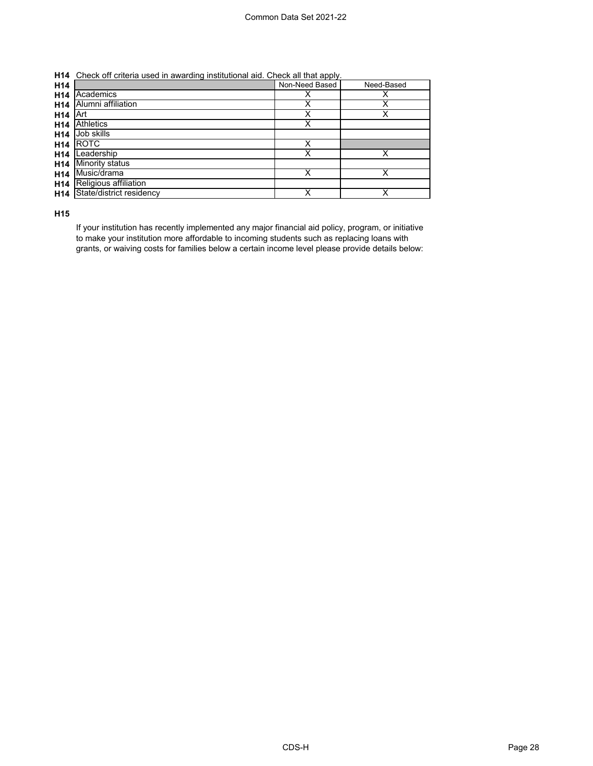| <b>H14</b> Check off criteria used in awarding institutional aid. Check all that apply. |  |   |  |
|-----------------------------------------------------------------------------------------|--|---|--|
|                                                                                         |  | . |  |

| H <sub>14</sub> |                          | Non-Need Based | Need-Based |
|-----------------|--------------------------|----------------|------------|
| H <sub>14</sub> | Academics                | х              |            |
| H <sub>14</sub> | Alumni affiliation       | Χ              |            |
| H <sub>14</sub> | Art                      | Χ              | Х          |
| H <sub>14</sub> | <b>Athletics</b>         | Χ              |            |
| H <sub>14</sub> | Job skills               |                |            |
| H <sub>14</sub> | <b>ROTC</b>              | х              |            |
| H <sub>14</sub> | Leadership               | х              |            |
| H <sub>14</sub> | <b>Minority status</b>   |                |            |
| H <sub>14</sub> | Music/drama              | Χ              | x          |
| H <sub>14</sub> | Religious affiliation    |                |            |
| H <sub>14</sub> | State/district residency |                |            |

**H15**

If your institution has recently implemented any major financial aid policy, program, or initiative to make your institution more affordable to incoming students such as replacing loans with grants, or waiving costs for families below a certain income level please provide details below: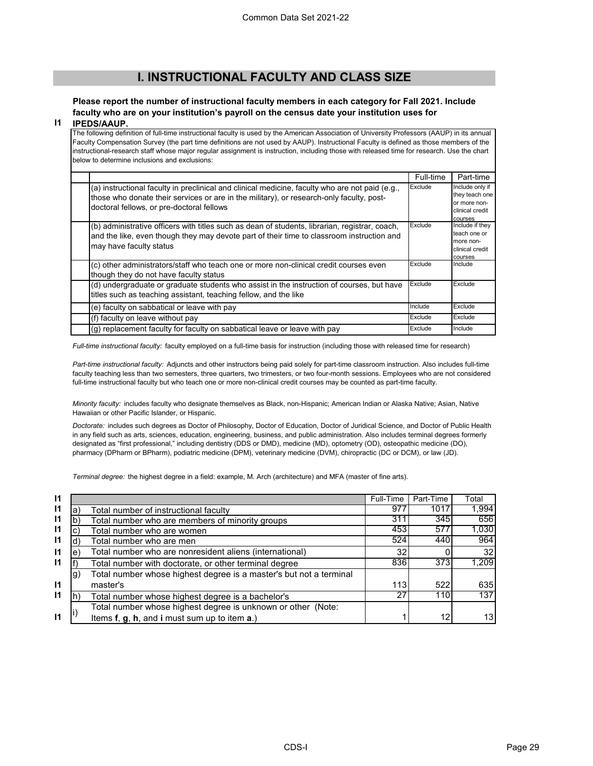### **I. INSTRUCTIONAL FACULTY AND CLASS SIZE**

#### **Please report the number of instructional faculty members in each category for Fall 2021. Include faculty who are on your institution's payroll on the census date your institution uses for IPEDS/AAUP.**

#### **I1**

The following definition of full-time instructional faculty is used by the American Association of University Professors (AAUP) in its annual Faculty Compensation Survey (the part time definitions are not used by AAUP). Instructional Faculty is defined as those members of the instructional-research staff whose major regular assignment is instruction, including those with released time for research. Use the chart below to determine inclusions and exclusions:

|                                                                                                                                                                                                                                          | Full-time | Part-time                                                                       |
|------------------------------------------------------------------------------------------------------------------------------------------------------------------------------------------------------------------------------------------|-----------|---------------------------------------------------------------------------------|
| (a) instructional faculty in preclinical and clinical medicine, faculty who are not paid (e.g.,<br>those who donate their services or are in the military), or research-only faculty, post-<br>doctoral fellows, or pre-doctoral fellows | Exclude   | Include only if<br>they teach one<br>or more non-<br>clinical credit<br>courses |
| (b) administrative officers with titles such as dean of students, librarian, registrar, coach,<br>and the like, even though they may devote part of their time to classroom instruction and<br>may have faculty status                   | Exclude   | Include if they<br>teach one or<br>more non-<br>clinical credit<br>courses      |
| (c) other administrators/staff who teach one or more non-clinical credit courses even<br>though they do not have faculty status                                                                                                          | Exclude   | Include                                                                         |
| (d) undergraduate or graduate students who assist in the instruction of courses, but have<br>titles such as teaching assistant, teaching fellow, and the like                                                                            | Exclude   | Exclude                                                                         |
| (e) faculty on sabbatical or leave with pay                                                                                                                                                                                              | Include   | Exclude                                                                         |
| (f) faculty on leave without pay                                                                                                                                                                                                         | Exclude   | Exclude                                                                         |
| (q) replacement faculty for faculty on sabbatical leave or leave with pay                                                                                                                                                                | Exclude   | Include                                                                         |

*Full-time instructional faculty:* faculty employed on a full-time basis for instruction (including those with released time for research)

*Part-time instructional faculty:* Adjuncts and other instructors being paid solely for part-time classroom instruction. Also includes full-time faculty teaching less than two semesters, three quarters, two trimesters, or two four-month sessions. Employees who are not considered full-time instructional faculty but who teach one or more non-clinical credit courses may be counted as part-time faculty.

*Minority faculty:* includes faculty who designate themselves as Black, non-Hispanic; American Indian or Alaska Native; Asian, Native Hawaiian or other Pacific Islander, or Hispanic.

*Doctorate:* includes such degrees as Doctor of Philosophy, Doctor of Education, Doctor of Juridical Science, and Doctor of Public Health in any field such as arts, sciences, education, engineering, business, and public administration. Also includes terminal degrees formerly designated as "first professional," including dentistry (DDS or DMD), medicine (MD), optometry (OD), osteopathic medicine (DO), pharmacy (DPharm or BPharm), podiatric medicine (DPM), veterinary medicine (DVM), chiropractic (DC or DCM), or law (JD).

*Terminal degree:* the highest degree in a field: example, M. Arch (architecture) and MFA (master of fine arts).

| 11           |    |                                                                    | Full-Time | Part-Time | Total           |
|--------------|----|--------------------------------------------------------------------|-----------|-----------|-----------------|
| $\mathsf{I}$ | а  | Total number of instructional faculty                              | 977       | 1017      | 1,994           |
| $\mathsf{I}$ |    | Total number who are members of minority groups                    | 311       | 345       | 656             |
| $\mathsf{I}$ |    | Total number who are women                                         | 453       | 577       | 1,030           |
| $\mathsf{I}$ |    | Total number who are men                                           | 524       | 440       | 964             |
| $\mathsf{I}$ | е  | Total number who are nonresident aliens (international)            | 32        |           | 32 <sub>l</sub> |
| $\mathsf{I}$ |    | Total number with doctorate, or other terminal degree              | 836       | 373       | 1,209           |
|              | g) | Total number whose highest degree is a master's but not a terminal |           |           |                 |
| $\mathsf{I}$ |    | master's                                                           | 113       | 522       | 635             |
| $\mathsf{I}$ |    | Total number whose highest degree is a bachelor's                  | 27        | 110       | 137             |
|              |    | Total number whose highest degree is unknown or other (Note:       |           |           |                 |
| 11           |    | Items f, g, h, and i must sum up to item a.)                       |           | 12        | 13 <sup>1</sup> |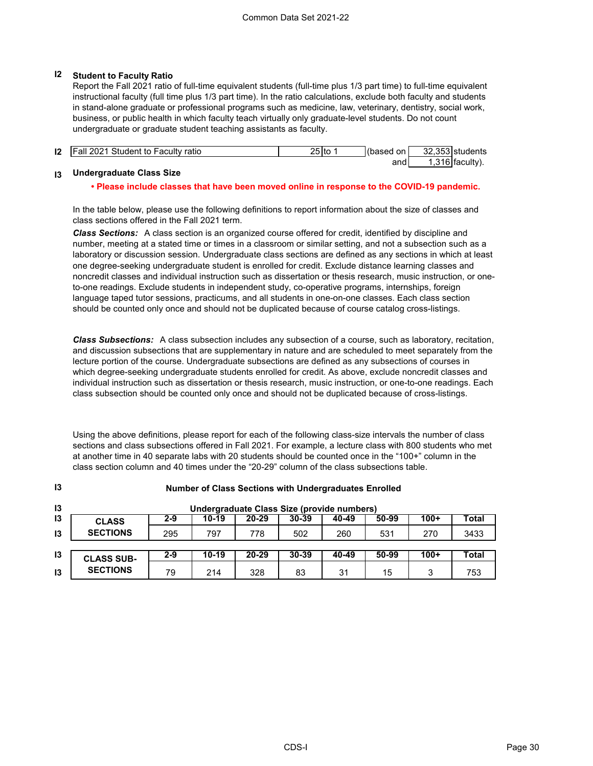### **I2 Student to Faculty Ratio**

Report the Fall 2021 ratio of full-time equivalent students (full-time plus 1/3 part time) to full-time equivalent instructional faculty (full time plus 1/3 part time). In the ratio calculations, exclude both faculty and students in stand-alone graduate or professional programs such as medicine, law, veterinary, dentistry, social work, business, or public health in which faculty teach virtually only graduate-level students. Do not count undergraduate or graduate student teaching assistants as faculty.

| 12 | <b>IFall 2021 Student to Faculty ratio</b> | 25 Ito | (based on | 32.353 students  |  |
|----|--------------------------------------------|--------|-----------|------------------|--|
|    |                                            |        | andl      | l.316 lfacultv). |  |

#### **I3 Undergraduate Class Size**

**I3**

#### **• Please include classes that have been moved online in response to the COVID-19 pandemic.**

In the table below, please use the following definitions to report information about the size of classes and class sections offered in the Fall 2021 term.

*Class Sections:* A class section is an organized course offered for credit, identified by discipline and number, meeting at a stated time or times in a classroom or similar setting, and not a subsection such as a laboratory or discussion session. Undergraduate class sections are defined as any sections in which at least one degree-seeking undergraduate student is enrolled for credit. Exclude distance learning classes and noncredit classes and individual instruction such as dissertation or thesis research, music instruction, or oneto-one readings. Exclude students in independent study, co-operative programs, internships, foreign language taped tutor sessions, practicums, and all students in one-on-one classes. Each class section should be counted only once and should not be duplicated because of course catalog cross-listings.

*Class Subsections:* A class subsection includes any subsection of a course, such as laboratory, recitation, and discussion subsections that are supplementary in nature and are scheduled to meet separately from the lecture portion of the course. Undergraduate subsections are defined as any subsections of courses in which degree-seeking undergraduate students enrolled for credit. As above, exclude noncredit classes and individual instruction such as dissertation or thesis research, music instruction, or one-to-one readings. Each class subsection should be counted only once and should not be duplicated because of cross-listings.

Using the above definitions, please report for each of the following class-size intervals the number of class sections and class subsections offered in Fall 2021. For example, a lecture class with 800 students who met at another time in 40 separate labs with 20 students should be counted once in the "100+" column in the class section column and 40 times under the "20-29" column of the class subsections table.

**Number of Class Sections with Undergraduates Enrolled**

| . . | <b>Hampyr or olded occupite with ondergraduates Emonca</b> |         |         |           |           |       |       |        |       |
|-----|------------------------------------------------------------|---------|---------|-----------|-----------|-------|-------|--------|-------|
| 13  | Undergraduate Class Size (provide numbers)                 |         |         |           |           |       |       |        |       |
| 13  | <b>CLASS</b>                                               | 2-9     | 10-19   | $20 - 29$ | 30-39     | 40-49 | 50-99 | $100+$ | Total |
| 13  | <b>SECTIONS</b>                                            | 295     | 797     | 778       | 502       | 260   | 531   | 270    | 3433  |
| 13  | <b>CLASS SUB-</b>                                          | $2 - 9$ | $10-19$ | $20 - 29$ | $30 - 39$ | 40-49 | 50-99 | $100+$ | Total |
| 13  | <b>SECTIONS</b>                                            | 79      | 214     | 328       | 83        | 31    | 15    | 3      | 753   |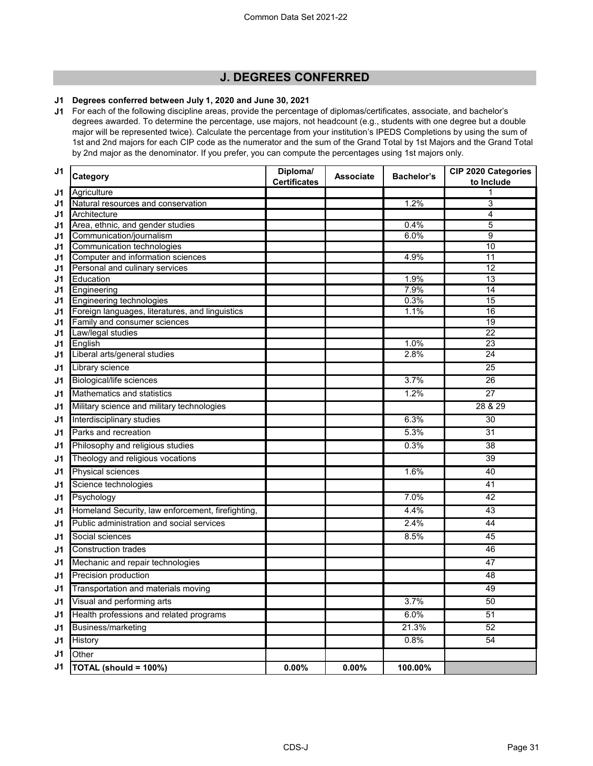### **J. DEGREES CONFERRED**

#### **J1 Degrees conferred between July 1, 2020 and June 30, 2021**

**J1** For each of the following discipline areas, provide the percentage of diplomas/certificates, associate, and bachelor's degrees awarded. To determine the percentage, use majors, not headcount (e.g., students with one degree but a double major will be represented twice). Calculate the percentage from your institution's IPEDS Completions by using the sum of 1st and 2nd majors for each CIP code as the numerator and the sum of the Grand Total by 1st Majors and the Grand Total by 2nd major as the denominator. If you prefer, you can compute the percentages using 1st majors only.

| J <sub>1</sub> | Category                                           | Diploma/            | <b>Associate</b> | <b>Bachelor's</b> | CIP 2020 Categories |
|----------------|----------------------------------------------------|---------------------|------------------|-------------------|---------------------|
|                |                                                    | <b>Certificates</b> |                  |                   | to Include          |
| J1             | Agriculture                                        |                     |                  | 1.2%              | 1<br>3              |
| J1             | Natural resources and conservation<br>Architecture |                     |                  |                   | 4                   |
| J1<br>J1       | Area, ethnic, and gender studies                   |                     |                  | 0.4%              | 5                   |
| J1             | Communication/journalism                           |                     |                  | 6.0%              | 9                   |
| J <sub>1</sub> | Communication technologies                         |                     |                  |                   | 10                  |
| J1             | Computer and information sciences                  |                     |                  | 4.9%              | 11                  |
| J1             | Personal and culinary services                     |                     |                  |                   | 12                  |
| J1             | Education                                          |                     |                  | 1.9%              | $\overline{13}$     |
| J1             | Engineering                                        |                     |                  | 7.9%              | 14                  |
| J1             | Engineering technologies                           |                     |                  | 0.3%              | 15                  |
| J <sub>1</sub> | Foreign languages, literatures, and linguistics    |                     |                  | 1.1%              | 16                  |
| J <sub>1</sub> | Family and consumer sciences                       |                     |                  |                   | 19                  |
| J <sub>1</sub> | Law/legal studies                                  |                     |                  |                   | 22                  |
| J <sub>1</sub> | English                                            |                     |                  | 1.0%              | 23                  |
| J1             | Liberal arts/general studies                       |                     |                  | 2.8%              | 24                  |
| J1             | Library science                                    |                     |                  |                   | 25                  |
| J1             | <b>Biological/life sciences</b>                    |                     |                  | 3.7%              | 26                  |
| J1             | Mathematics and statistics                         |                     |                  | 1.2%              | 27                  |
| J1             | Military science and military technologies         |                     |                  |                   | 28 & 29             |
| J1             | Interdisciplinary studies                          |                     |                  | 6.3%              | 30                  |
| J1             | Parks and recreation                               |                     |                  | 5.3%              | 31                  |
| J1             | Philosophy and religious studies                   |                     |                  | 0.3%              | 38                  |
| J1             | Theology and religious vocations                   |                     |                  |                   | 39                  |
| J1             | <b>Physical sciences</b>                           |                     |                  | 1.6%              | 40                  |
| J <sub>1</sub> | Science technologies                               |                     |                  |                   | 41                  |
| J1             | Psychology                                         |                     |                  | 7.0%              | 42                  |
| J1             | Homeland Security, law enforcement, firefighting,  |                     |                  | 4.4%              | 43                  |
| J1             | Public administration and social services          |                     |                  | 2.4%              | 44                  |
| J1             | Social sciences                                    |                     |                  | 8.5%              | 45                  |
| J1             | <b>Construction trades</b>                         |                     |                  |                   | 46                  |
| J1             | Mechanic and repair technologies                   |                     |                  |                   | 47                  |
| J1             | Precision production                               |                     |                  |                   | 48                  |
| J <sub>1</sub> | Transportation and materials moving                |                     |                  |                   | 49                  |
| J1             | Visual and performing arts                         |                     |                  | 3.7%              | 50                  |
| J1             | Health professions and related programs            |                     |                  | 6.0%              | 51                  |
| J1             | Business/marketing                                 |                     |                  | 21.3%             | 52                  |
| J1             | History                                            |                     |                  | 0.8%              | 54                  |
| J1             | Other                                              |                     |                  |                   |                     |
| J1             | TOTAL (should = 100%)                              | 0.00%               | $0.00\%$         | 100.00%           |                     |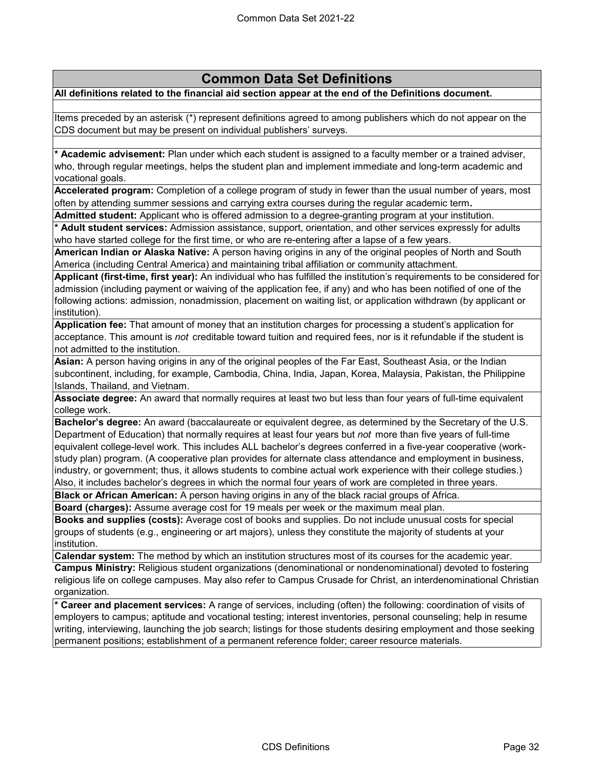# **Common Data Set Definitions**

### **All definitions related to the financial aid section appear at the end of the Definitions document.**

Items preceded by an asterisk (\*) represent definitions agreed to among publishers which do not appear on the CDS document but may be present on individual publishers' surveys.

**\* Academic advisement:** Plan under which each student is assigned to a faculty member or a trained adviser, who, through regular meetings, helps the student plan and implement immediate and long-term academic and vocational goals.

**Accelerated program:** Completion of a college program of study in fewer than the usual number of years, most often by attending summer sessions and carrying extra courses during the regular academic term**.**

**Admitted student:** Applicant who is offered admission to a degree-granting program at your institution.

**\* Adult student services:** Admission assistance, support, orientation, and other services expressly for adults who have started college for the first time, or who are re-entering after a lapse of a few years.

**American Indian or Alaska Native:** A person having origins in any of the original peoples of North and South America (including Central America) and maintaining tribal affiliation or community attachment.

**Applicant (first-time, first year):** An individual who has fulfilled the institution's requirements to be considered for admission (including payment or waiving of the application fee, if any) and who has been notified of one of the following actions: admission, nonadmission, placement on waiting list, or application withdrawn (by applicant or institution).

**Application fee:** That amount of money that an institution charges for processing a student's application for acceptance. This amount is *not* creditable toward tuition and required fees, nor is it refundable if the student is not admitted to the institution.

**Asian:** A person having origins in any of the original peoples of the Far East, Southeast Asia, or the Indian subcontinent, including, for example, Cambodia, China, India, Japan, Korea, Malaysia, Pakistan, the Philippine Islands, Thailand, and Vietnam.

**Associate degree:** An award that normally requires at least two but less than four years of full-time equivalent college work.

**Bachelor's degree:** An award (baccalaureate or equivalent degree, as determined by the Secretary of the U.S. Department of Education) that normally requires at least four years but *not* more than five years of full-time equivalent college-level work. This includes ALL bachelor's degrees conferred in a five-year cooperative (workstudy plan) program. (A cooperative plan provides for alternate class attendance and employment in business, industry, or government; thus, it allows students to combine actual work experience with their college studies.) Also, it includes bachelor's degrees in which the normal four years of work are completed in three years.

**Black or African American:** A person having origins in any of the black racial groups of Africa.

**Board (charges):** Assume average cost for 19 meals per week or the maximum meal plan.

**Books and supplies (costs):** Average cost of books and supplies. Do not include unusual costs for special groups of students (e.g., engineering or art majors), unless they constitute the majority of students at your institution.

**Calendar system:** The method by which an institution structures most of its courses for the academic year.

**Campus Ministry:** Religious student organizations (denominational or nondenominational) devoted to fostering religious life on college campuses. May also refer to Campus Crusade for Christ, an interdenominational Christian organization.

**\* Career and placement services:** A range of services, including (often) the following: coordination of visits of employers to campus; aptitude and vocational testing; interest inventories, personal counseling; help in resume writing, interviewing, launching the job search; listings for those students desiring employment and those seeking permanent positions; establishment of a permanent reference folder; career resource materials.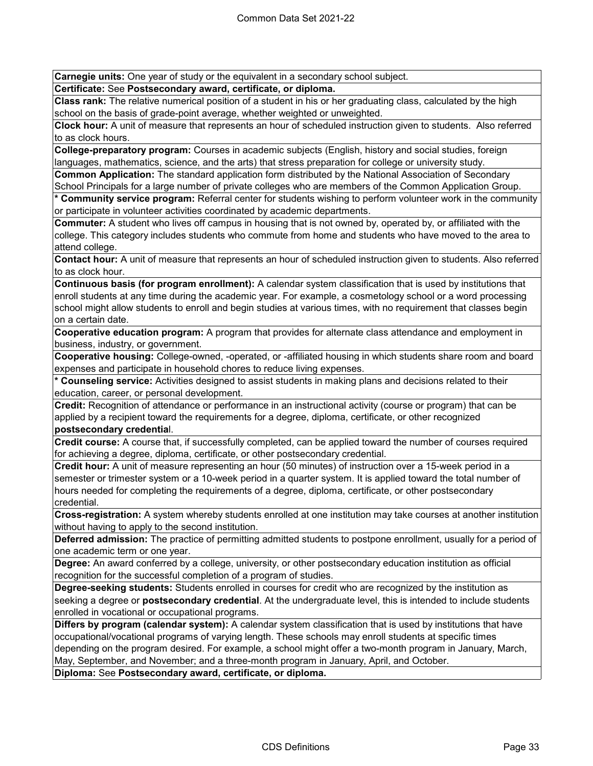**Carnegie units:** One year of study or the equivalent in a secondary school subject.

**Certificate:** See **Postsecondary award, certificate, or diploma.**

**Class rank:** The relative numerical position of a student in his or her graduating class, calculated by the high school on the basis of grade-point average, whether weighted or unweighted.

**Clock hour:** A unit of measure that represents an hour of scheduled instruction given to students. Also referred to as clock hours.

**College-preparatory program:** Courses in academic subjects (English, history and social studies, foreign languages, mathematics, science, and the arts) that stress preparation for college or university study.

**Common Application:** The standard application form distributed by the National Association of Secondary School Principals for a large number of private colleges who are members of the Common Application Group.

**\* Community service program:** Referral center for students wishing to perform volunteer work in the community or participate in volunteer activities coordinated by academic departments.

**Commuter:** A student who lives off campus in housing that is not owned by, operated by, or affiliated with the college. This category includes students who commute from home and students who have moved to the area to attend college.

**Contact hour:** A unit of measure that represents an hour of scheduled instruction given to students. Also referred to as clock hour.

**Continuous basis (for program enrollment):** A calendar system classification that is used by institutions that enroll students at any time during the academic year. For example, a cosmetology school or a word processing school might allow students to enroll and begin studies at various times, with no requirement that classes begin on a certain date.

**Cooperative education program:** A program that provides for alternate class attendance and employment in business, industry, or government.

**Cooperative housing:** College-owned, -operated, or -affiliated housing in which students share room and board expenses and participate in household chores to reduce living expenses.

**\* Counseling service:** Activities designed to assist students in making plans and decisions related to their education, career, or personal development.

**Credit:** Recognition of attendance or performance in an instructional activity (course or program) that can be applied by a recipient toward the requirements for a degree, diploma, certificate, or other recognized **postsecondary credentia**l.

**Credit course:** A course that, if successfully completed, can be applied toward the number of courses required for achieving a degree, diploma, certificate, or other postsecondary credential.

**Credit hour:** A unit of measure representing an hour (50 minutes) of instruction over a 15-week period in a semester or trimester system or a 10-week period in a quarter system. It is applied toward the total number of hours needed for completing the requirements of a degree, diploma, certificate, or other postsecondary credential.

**Cross-registration:** A system whereby students enrolled at one institution may take courses at another institution without having to apply to the second institution.

**Deferred admission:** The practice of permitting admitted students to postpone enrollment, usually for a period of one academic term or one year.

**Degree:** An award conferred by a college, university, or other postsecondary education institution as official recognition for the successful completion of a program of studies.

**Degree-seeking students:** Students enrolled in courses for credit who are recognized by the institution as seeking a degree or **postsecondary credential**. At the undergraduate level, this is intended to include students enrolled in vocational or occupational programs.

**Differs by program (calendar system):** A calendar system classification that is used by institutions that have occupational/vocational programs of varying length. These schools may enroll students at specific times depending on the program desired. For example, a school might offer a two-month program in January, March, May, September, and November; and a three-month program in January, April, and October.

**Diploma:** See **Postsecondary award, certificate, or diploma.**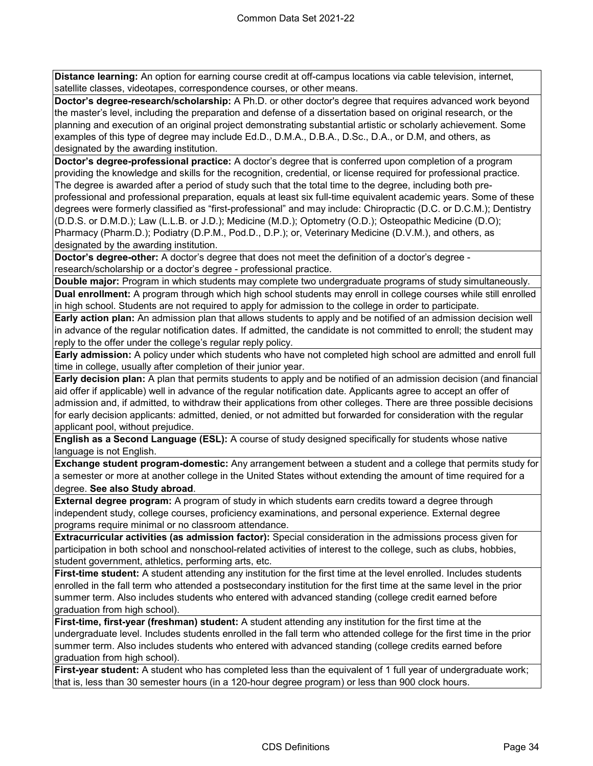**Distance learning:** An option for earning course credit at off-campus locations via cable television, internet, satellite classes, videotapes, correspondence courses, or other means.

**Doctor's degree-research/scholarship:** A Ph.D. or other doctor's degree that requires advanced work beyond the master's level, including the preparation and defense of a dissertation based on original research, or the planning and execution of an original project demonstrating substantial artistic or scholarly achievement. Some examples of this type of degree may include Ed.D., D.M.A., D.B.A., D.Sc., D.A., or D.M, and others, as designated by the awarding institution.

**Doctor's degree-professional practice:** A doctor's degree that is conferred upon completion of a program providing the knowledge and skills for the recognition, credential, or license required for professional practice. The degree is awarded after a period of study such that the total time to the degree, including both preprofessional and professional preparation, equals at least six full-time equivalent academic years. Some of these degrees were formerly classified as "first-professional" and may include: Chiropractic (D.C. or D.C.M.); Dentistry (D.D.S. or D.M.D.); Law (L.L.B. or J.D.); Medicine (M.D.); Optometry (O.D.); Osteopathic Medicine (D.O); Pharmacy (Pharm.D.); Podiatry (D.P.M., Pod.D., D.P.); or, Veterinary Medicine (D.V.M.), and others, as designated by the awarding institution.

**Doctor's degree-other:** A doctor's degree that does not meet the definition of a doctor's degree research/scholarship or a doctor's degree - professional practice.

**Double major:** Program in which students may complete two undergraduate programs of study simultaneously. **Dual enrollment:** A program through which high school students may enroll in college courses while still enrolled in high school. Students are not required to apply for admission to the college in order to participate.

**Early action plan:** An admission plan that allows students to apply and be notified of an admission decision well in advance of the regular notification dates. If admitted, the candidate is not committed to enroll; the student may reply to the offer under the college's regular reply policy.

**Early admission:** A policy under which students who have not completed high school are admitted and enroll full time in college, usually after completion of their junior year.

**Early decision plan:** A plan that permits students to apply and be notified of an admission decision (and financial aid offer if applicable) well in advance of the regular notification date. Applicants agree to accept an offer of admission and, if admitted, to withdraw their applications from other colleges. There are three possible decisions for early decision applicants: admitted, denied, or not admitted but forwarded for consideration with the regular applicant pool, without prejudice.

**English as a Second Language (ESL):** A course of study designed specifically for students whose native language is not English.

**Exchange student program-domestic:** Any arrangement between a student and a college that permits study for a semester or more at another college in the United States without extending the amount of time required for a degree. **See also Study abroad**.

**External degree program:** A program of study in which students earn credits toward a degree through independent study, college courses, proficiency examinations, and personal experience. External degree programs require minimal or no classroom attendance.

**Extracurricular activities (as admission factor):** Special consideration in the admissions process given for participation in both school and nonschool-related activities of interest to the college, such as clubs, hobbies, student government, athletics, performing arts, etc.

**First-time student:** A student attending any institution for the first time at the level enrolled. Includes students enrolled in the fall term who attended a postsecondary institution for the first time at the same level in the prior summer term. Also includes students who entered with advanced standing (college credit earned before graduation from high school).

**First-time, first-year (freshman) student:** A student attending any institution for the first time at the undergraduate level. Includes students enrolled in the fall term who attended college for the first time in the prior summer term. Also includes students who entered with advanced standing (college credits earned before graduation from high school).

First-year student: A student who has completed less than the equivalent of 1 full year of undergraduate work; that is, less than 30 semester hours (in a 120-hour degree program) or less than 900 clock hours.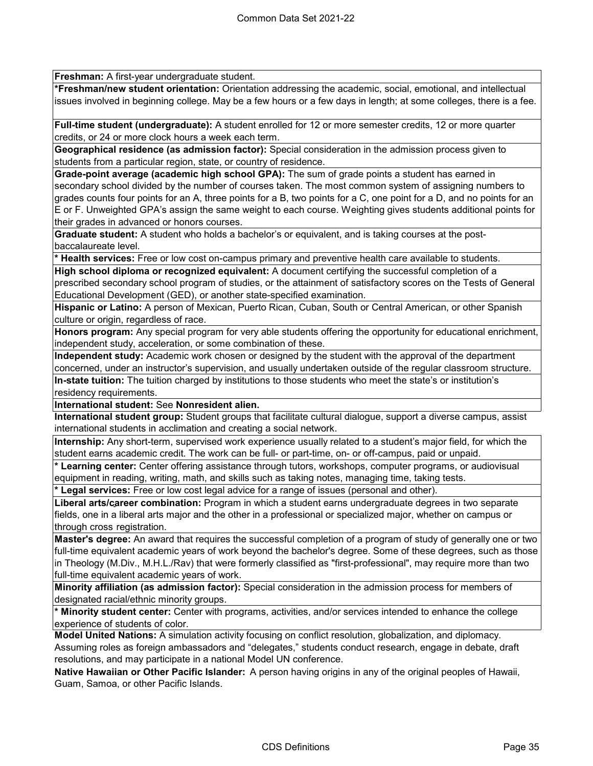**Freshman:** A first-year undergraduate student.

**\*Freshman/new student orientation:** Orientation addressing the academic, social, emotional, and intellectual issues involved in beginning college. May be a few hours or a few days in length; at some colleges, there is a fee.

**Full-time student (undergraduate):** A student enrolled for 12 or more semester credits, 12 or more quarter credits, or 24 or more clock hours a week each term.

**Geographical residence (as admission factor):** Special consideration in the admission process given to students from a particular region, state, or country of residence.

**Grade-point average (academic high school GPA):** The sum of grade points a student has earned in secondary school divided by the number of courses taken. The most common system of assigning numbers to grades counts four points for an A, three points for a B, two points for a C, one point for a D, and no points for an E or F. Unweighted GPA's assign the same weight to each course. Weighting gives students additional points for their grades in advanced or honors courses.

**Graduate student:** A student who holds a bachelor's or equivalent, and is taking courses at the postbaccalaureate level.

**\* Health services:** Free or low cost on-campus primary and preventive health care available to students.

**High school diploma or recognized equivalent:** A document certifying the successful completion of a prescribed secondary school program of studies, or the attainment of satisfactory scores on the Tests of General Educational Development (GED), or another state-specified examination.

**Hispanic or Latino:** A person of Mexican, Puerto Rican, Cuban, South or Central American, or other Spanish culture or origin, regardless of race.

**Honors program:** Any special program for very able students offering the opportunity for educational enrichment, independent study, acceleration, or some combination of these.

**Independent study:** Academic work chosen or designed by the student with the approval of the department concerned, under an instructor's supervision, and usually undertaken outside of the regular classroom structure. **In-state tuition:** The tuition charged by institutions to those students who meet the state's or institution's residency requirements.

**International student:** See **Nonresident alien.**

**International student group:** Student groups that facilitate cultural dialogue, support a diverse campus, assist international students in acclimation and creating a social network.

**Internship:** Any short-term, supervised work experience usually related to a student's major field, for which the student earns academic credit. The work can be full- or part-time, on- or off-campus, paid or unpaid.

**\* Learning center:** Center offering assistance through tutors, workshops, computer programs, or audiovisual equipment in reading, writing, math, and skills such as taking notes, managing time, taking tests.

**\* Legal services:** Free or low cost legal advice for a range of issues (personal and other).

**Liberal arts/career combination:** Program in which a student earns undergraduate degrees in two separate fields, one in a liberal arts major and the other in a professional or specialized major, whether on campus or ‑ through cross registration.

**Master's degree:** An award that requires the successful completion of a program of study of generally one or two full-time equivalent academic years of work beyond the bachelor's degree. Some of these degrees, such as those in Theology (M.Div., M.H.L./Rav) that were formerly classified as "first-professional", may require more than two full-time equivalent academic years of work.

**Minority affiliation (as admission factor):** Special consideration in the admission process for members of designated racial/ethnic minority groups.

**\* Minority student center:** Center with programs, activities, and/or services intended to enhance the college experience of students of color.

**Model United Nations:** A simulation activity focusing on conflict resolution, globalization, and diplomacy. Assuming roles as foreign ambassadors and "delegates," students conduct research, engage in debate, draft resolutions, and may participate in a national Model UN conference.

**Native Hawaiian or Other Pacific Islander:** A person having origins in any of the original peoples of Hawaii, Guam, Samoa, or other Pacific Islands.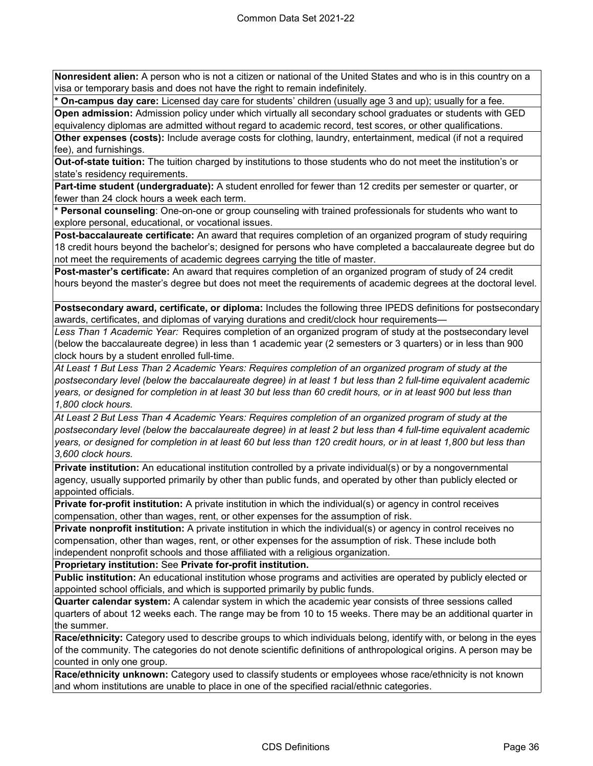**Nonresident alien:** A person who is not a citizen or national of the United States and who is in this country on a visa or temporary basis and does not have the right to remain indefinitely.

**\* On-campus day care:** Licensed day care for students' children (usually age 3 and up); usually for a fee.

**Open admission:** Admission policy under which virtually all secondary school graduates or students with GED equivalency diplomas are admitted without regard to academic record, test scores, or other qualifications.

**Other expenses (costs):** Include average costs for clothing, laundry, entertainment, medical (if not a required fee), and furnishings.

**Out-of-state tuition:** The tuition charged by institutions to those students who do not meet the institution's or state's residency requirements.

**Part-time student (undergraduate):** A student enrolled for fewer than 12 credits per semester or quarter, or fewer than 24 clock hours a week each term.

**\* Personal counseling**: One-on-one or group counseling with trained professionals for students who want to explore personal, educational, or vocational issues.

**Post-baccalaureate certificate:** An award that requires completion of an organized program of study requiring 18 credit hours beyond the bachelor's; designed for persons who have completed a baccalaureate degree but do not meet the requirements of academic degrees carrying the title of master.

**Post-master's certificate:** An award that requires completion of an organized program of study of 24 credit hours beyond the master's degree but does not meet the requirements of academic degrees at the doctoral level.

**Postsecondary award, certificate, or diploma:** Includes the following three IPEDS definitions for postsecondary awards, certificates, and diplomas of varying durations and credit/clock hour requirements—

*Less Than 1 Academic Year:* Requires completion of an organized program of study at the postsecondary level (below the baccalaureate degree) in less than 1 academic year (2 semesters or 3 quarters) or in less than 900 clock hours by a student enrolled full-time.

*At Least 1 But Less Than 2 Academic Years: Requires completion of an organized program of study at the postsecondary level (below the baccalaureate degree) in at least 1 but less than 2 full-time equivalent academic years, or designed for completion in at least 30 but less than 60 credit hours, or in at least 900 but less than 1,800 clock hours.*

*At Least 2 But Less Than 4 Academic Years: Requires completion of an organized program of study at the postsecondary level (below the baccalaureate degree) in at least 2 but less than 4 full-time equivalent academic years, or designed for completion in at least 60 but less than 120 credit hours, or in at least 1,800 but less than 3,600 clock hours.*

**Private institution:** An educational institution controlled by a private individual(s) or by a nongovernmental agency, usually supported primarily by other than public funds, and operated by other than publicly elected or appointed officials.

**Private for-profit institution:** A private institution in which the individual(s) or agency in control receives compensation, other than wages, rent, or other expenses for the assumption of risk.

**Private nonprofit institution:** A private institution in which the individual(s) or agency in control receives no compensation, other than wages, rent, or other expenses for the assumption of risk. These include both independent nonprofit schools and those affiliated with a religious organization.

**Proprietary institution:** See **Private for-profit institution.**

**Public institution:** An educational institution whose programs and activities are operated by publicly elected or appointed school officials, and which is supported primarily by public funds.

**Quarter calendar system:** A calendar system in which the academic year consists of three sessions called quarters of about 12 weeks each. The range may be from 10 to 15 weeks. There may be an additional quarter in the summer.

**Race/ethnicity:** Category used to describe groups to which individuals belong, identify with, or belong in the eyes of the community. The categories do not denote scientific definitions of anthropological origins. A person may be counted in only one group.

**Race/ethnicity unknown:** Category used to classify students or employees whose race/ethnicity is not known and whom institutions are unable to place in one of the specified racial/ethnic categories.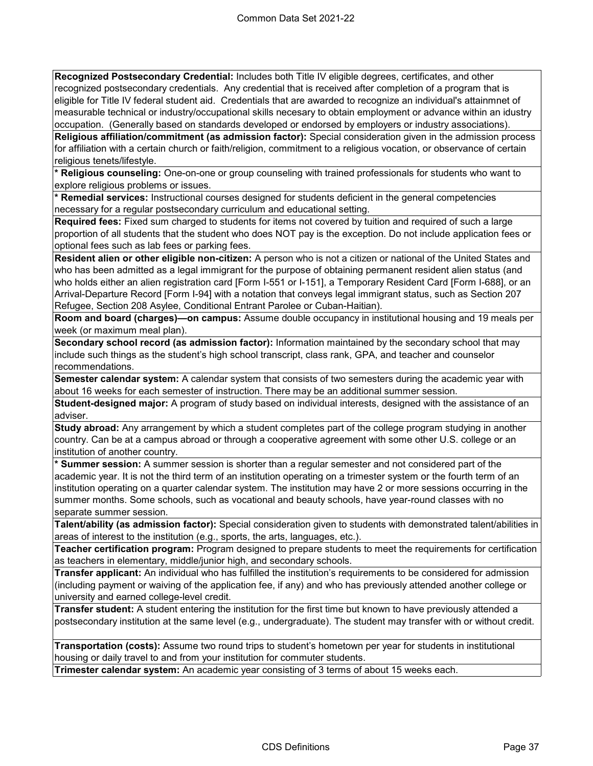**Recognized Postsecondary Credential:** Includes both Title IV eligible degrees, certificates, and other recognized postsecondary credentials. Any credential that is received after completion of a program that is eligible for Title IV federal student aid. Credentials that are awarded to recognize an individual's attainmnet of measurable technical or industry/occupational skills necesary to obtain employment or advance within an idustry occupation. (Generally based on standards developed or endorsed by employers or industry associations).

**Religious affiliation/commitment (as admission factor):** Special consideration given in the admission process for affiliation with a certain church or faith/religion, commitment to a religious vocation, or observance of certain religious tenets/lifestyle.

**\* Religious counseling:** One-on-one or group counseling with trained professionals for students who want to explore religious problems or issues.

**\* Remedial services:** Instructional courses designed for students deficient in the general competencies necessary for a regular postsecondary curriculum and educational setting.

**Required fees:** Fixed sum charged to students for items not covered by tuition and required of such a large proportion of all students that the student who does NOT pay is the exception. Do not include application fees or optional fees such as lab fees or parking fees.

**Resident alien or other eligible non-citizen:** A person who is not a citizen or national of the United States and who has been admitted as a legal immigrant for the purpose of obtaining permanent resident alien status (and who holds either an alien registration card [Form I-551 or I-151], a Temporary Resident Card [Form I-688], or an Arrival-Departure Record [Form I-94] with a notation that conveys legal immigrant status, such as Section 207 Refugee, Section 208 Asylee, Conditional Entrant Parolee or Cuban-Haitian).

**Room and board (charges)—on campus:** Assume double occupancy in institutional housing and 19 meals per week (or maximum meal plan).

**Secondary school record (as admission factor):** Information maintained by the secondary school that may include such things as the student's high school transcript, class rank, GPA, and teacher and counselor recommendations.

**Semester calendar system:** A calendar system that consists of two semesters during the academic year with about 16 weeks for each semester of instruction. There may be an additional summer session.

**Student-designed major:** A program of study based on individual interests, designed with the assistance of an adviser.

**Study abroad:** Any arrangement by which a student completes part of the college program studying in another country. Can be at a campus abroad or through a cooperative agreement with some other U.S. college or an institution of another country.

**\* Summer session:** A summer session is shorter than a regular semester and not considered part of the academic year. It is not the third term of an institution operating on a trimester system or the fourth term of an institution operating on a quarter calendar system. The institution may have 2 or more sessions occurring in the summer months. Some schools, such as vocational and beauty schools, have year-round classes with no separate summer session.

**Talent/ability (as admission factor):** Special consideration given to students with demonstrated talent/abilities in areas of interest to the institution (e.g., sports, the arts, languages, etc.).

**Teacher certification program:** Program designed to prepare students to meet the requirements for certification as teachers in elementary, middle/junior high, and secondary schools.

**Transfer applicant:** An individual who has fulfilled the institution's requirements to be considered for admission (including payment or waiving of the application fee, if any) and who has previously attended another college or university and earned college-level credit.

**Transfer student:** A student entering the institution for the first time but known to have previously attended a postsecondary institution at the same level (e.g., undergraduate). The student may transfer with or without credit.

**Transportation (costs):** Assume two round trips to student's hometown per year for students in institutional housing or daily travel to and from your institution for commuter students.

**Trimester calendar system:** An academic year consisting of 3 terms of about 15 weeks each.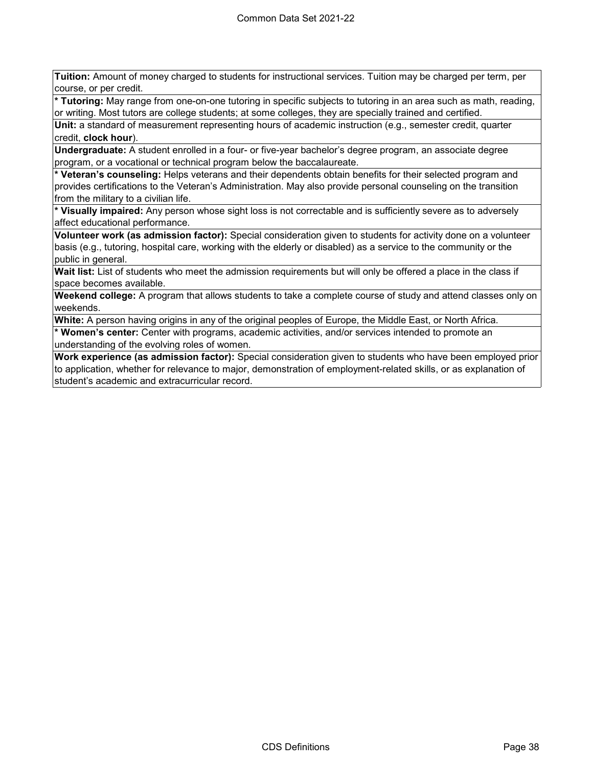**Tuition:** Amount of money charged to students for instructional services. Tuition may be charged per term, per course, or per credit.

**\* Tutoring:** May range from one-on-one tutoring in specific subjects to tutoring in an area such as math, reading, or writing. Most tutors are college students; at some colleges, they are specially trained and certified.

**Unit:** a standard of measurement representing hours of academic instruction (e.g., semester credit, quarter credit, **clock hour**).

**Undergraduate:** A student enrolled in a four- or five-year bachelor's degree program, an associate degree program, or a vocational or technical program below the baccalaureate.

**\* Veteran's counseling:** Helps veterans and their dependents obtain benefits for their selected program and provides certifications to the Veteran's Administration. May also provide personal counseling on the transition from the military to a civilian life.

**\* Visually impaired:** Any person whose sight loss is not correctable and is sufficiently severe as to adversely affect educational performance.

**Volunteer work (as admission factor):** Special consideration given to students for activity done on a volunteer basis (e.g., tutoring, hospital care, working with the elderly or disabled) as a service to the community or the public in general.

**Wait list:** List of students who meet the admission requirements but will only be offered a place in the class if space becomes available.

**Weekend college:** A program that allows students to take a complete course of study and attend classes only on weekends.

**White:** A person having origins in any of the original peoples of Europe, the Middle East, or North Africa.

**\* Women's center:** Center with programs, academic activities, and/or services intended to promote an understanding of the evolving roles of women.

**Work experience (as admission factor):** Special consideration given to students who have been employed prior to application, whether for relevance to major, demonstration of employment-related skills, or as explanation of student's academic and extracurricular record.